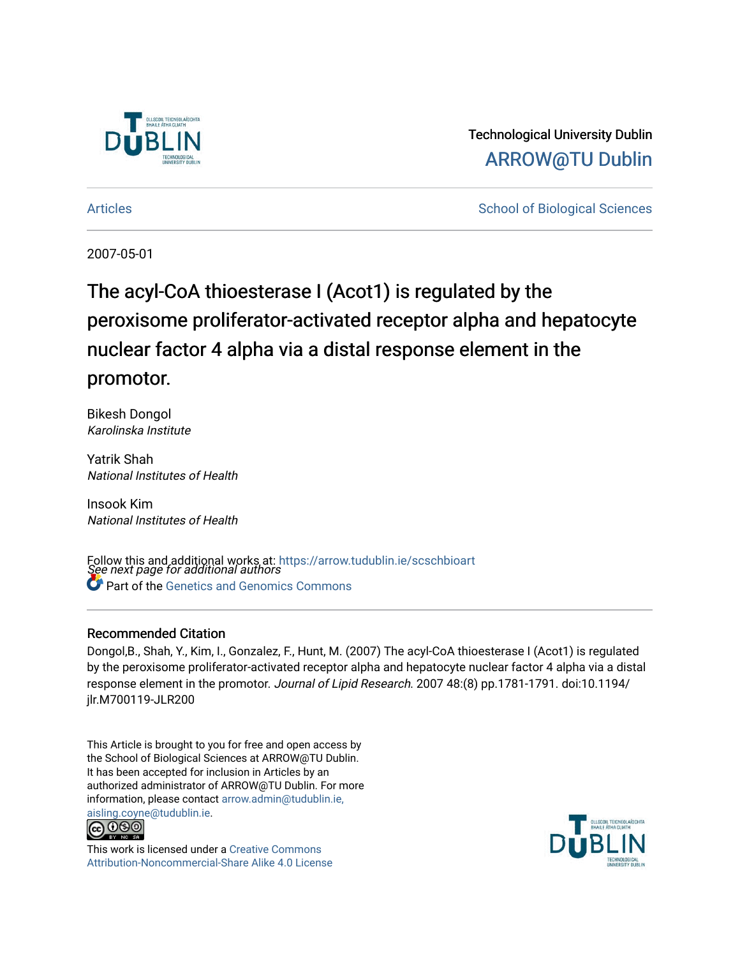

Technological University Dublin [ARROW@TU Dublin](https://arrow.tudublin.ie/) 

[Articles](https://arrow.tudublin.ie/scschbioart) **School of Biological Sciences** School of Biological Sciences

2007-05-01

# The acyl-CoA thioesterase I (Acot1) is regulated by the peroxisome proliferator-activated receptor alpha and hepatocyte nuclear factor 4 alpha via a distal response element in the promotor.

Bikesh Dongol Karolinska Institute

Yatrik Shah National Institutes of Health

Insook Kim National Institutes of Health

Follow this and additional works at: [https://arrow.tudublin.ie/scschbioart](https://arrow.tudublin.ie/scschbioart?utm_source=arrow.tudublin.ie%2Fscschbioart%2F5&utm_medium=PDF&utm_campaign=PDFCoverPages)<br>See next page for additional authors **Part of the [Genetics and Genomics Commons](http://network.bepress.com/hgg/discipline/27?utm_source=arrow.tudublin.ie%2Fscschbioart%2F5&utm_medium=PDF&utm_campaign=PDFCoverPages)** 

# Recommended Citation

Dongol,B., Shah, Y., Kim, I., Gonzalez, F., Hunt, M. (2007) The acyl-CoA thioesterase I (Acot1) is regulated by the peroxisome proliferator-activated receptor alpha and hepatocyte nuclear factor 4 alpha via a distal response element in the promotor. Journal of Lipid Research. 2007 48:(8) pp.1781-1791. doi:10.1194/ jlr.M700119-JLR200

This Article is brought to you for free and open access by the School of Biological Sciences at ARROW@TU Dublin. It has been accepted for inclusion in Articles by an authorized administrator of ARROW@TU Dublin. For more information, please contact [arrow.admin@tudublin.ie,](mailto:arrow.admin@tudublin.ie,%20aisling.coyne@tudublin.ie)  [aisling.coyne@tudublin.ie.](mailto:arrow.admin@tudublin.ie,%20aisling.coyne@tudublin.ie)



This work is licensed under a [Creative Commons](http://creativecommons.org/licenses/by-nc-sa/4.0/) [Attribution-Noncommercial-Share Alike 4.0 License](http://creativecommons.org/licenses/by-nc-sa/4.0/)

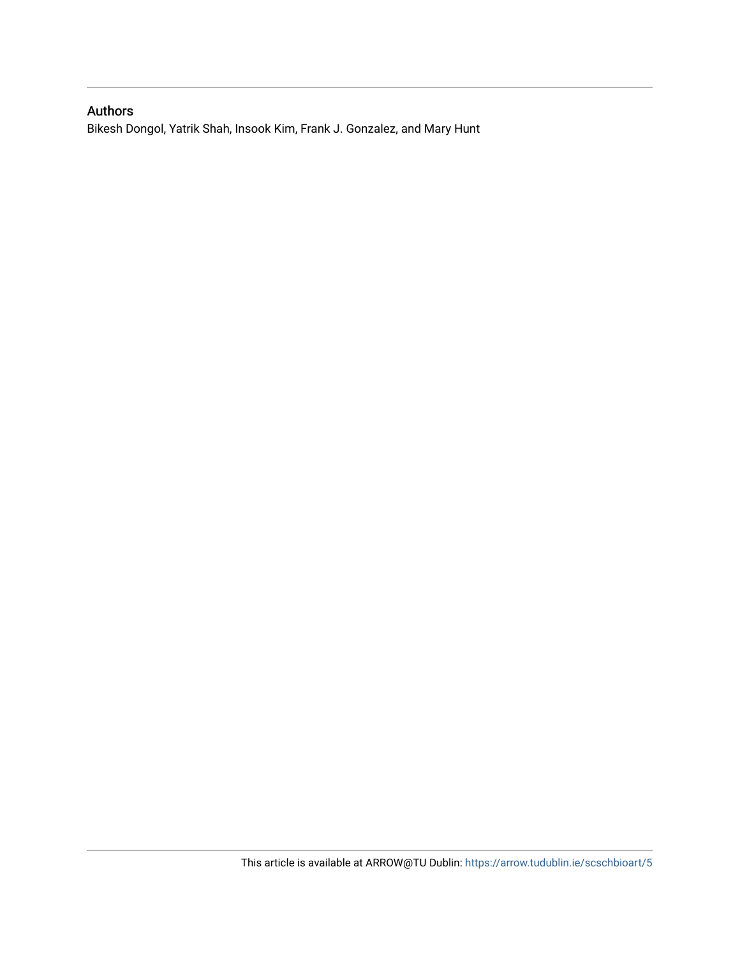# Authors

Bikesh Dongol, Yatrik Shah, Insook Kim, Frank J. Gonzalez, and Mary Hunt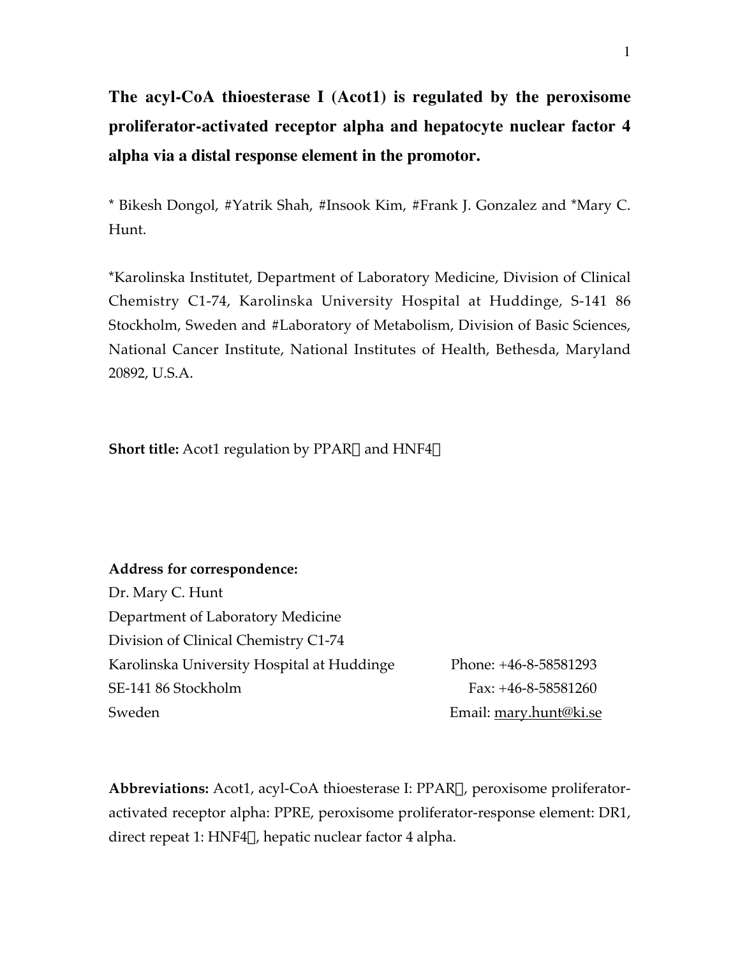**The acyl-CoA thioesterase I (Acot1) is regulated by the peroxisome proliferator-activated receptor alpha and hepatocyte nuclear factor 4 alpha via a distal response element in the promotor.**

\* Bikesh Dongol, #Yatrik Shah, #Insook Kim, #Frank J. Gonzalez and \*Mary C. Hunt.

\*Karolinska Institutet, Department of Laboratory Medicine, Division of Clinical Chemistry C1-74, Karolinska University Hospital at Huddinge, S-141 86 Stockholm, Sweden and #Laboratory of Metabolism, Division of Basic Sciences, National Cancer Institute, National Institutes of Health, Bethesda, Maryland 20892, U.S.A.

**Short title:** Acot1 regulation by PPAR $\alpha$  and HNF4 $\alpha$ 

#### **Address for correspondence:**

Dr. Mary C. Hunt Department of Laboratory Medicine Division of Clinical Chemistry C1-74 Karolinska University Hospital at Huddinge Phone: +46-8-58581293 SE-141 86 Stockholm Fax: +46-8-58581260 Sweden Email: mary.hunt@ki.se

**Abbreviations:** Acot1, acyl-CoA thioesterase I: PPARa, peroxisome proliferatoractivated receptor alpha: PPRE, peroxisome proliferator-response element: DR1, direct repeat 1: HNF4 $\alpha$ , hepatic nuclear factor 4 alpha.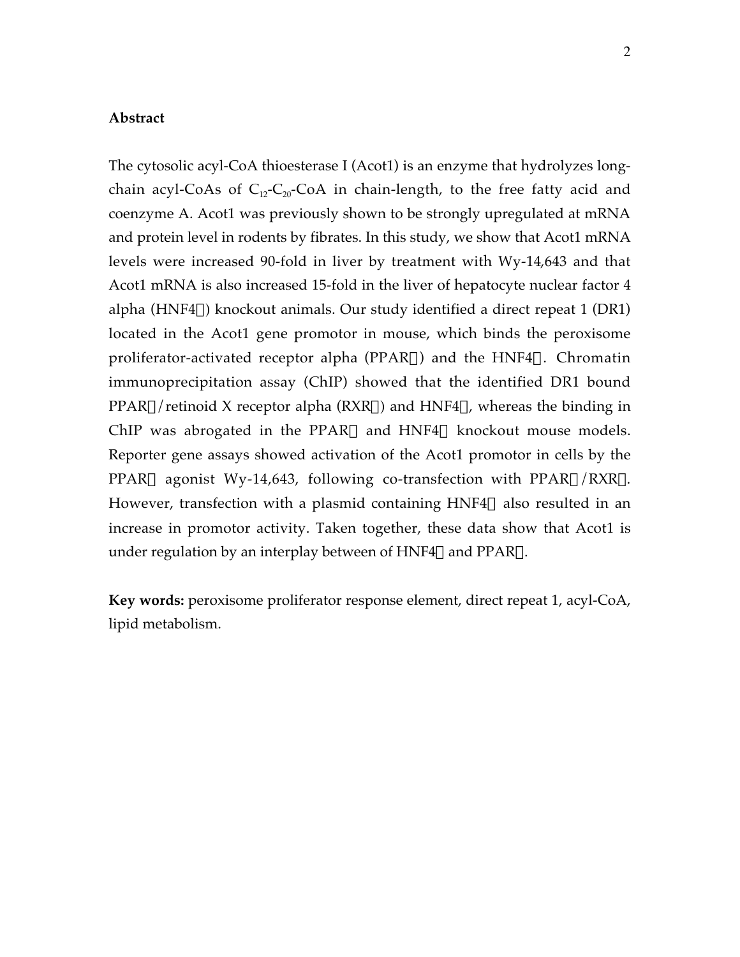#### **Abstract**

The cytosolic acyl-CoA thioesterase I (Acot1) is an enzyme that hydrolyzes longchain acyl-CoAs of  $C_{12}-C_{20}-C_0$  in chain-length, to the free fatty acid and coenzyme A. Acot1 was previously shown to be strongly upregulated at mRNA and protein level in rodents by fibrates. In this study, we show that Acot1 mRNA levels were increased 90-fold in liver by treatment with Wy-14,643 and that Acot1 mRNA is also increased 15-fold in the liver of hepatocyte nuclear factor 4 alpha (HNF4 $\alpha$ ) knockout animals. Our study identified a direct repeat 1 (DR1) located in the Acot1 gene promotor in mouse, which binds the peroxisome proliferator-activated receptor alpha (PPAR $\alpha$ ) and the HNF4 $\alpha$ . Chromatin immunoprecipitation assay (ChIP) showed that the identified DR1 bound  $PPAR\alpha$ /retinoid X receptor alpha (RXR $\alpha$ ) and HNF4 $\alpha$ , whereas the binding in ChIP was abrogated in the PPAR $\alpha$  and HNF4 $\alpha$  knockout mouse models. Reporter gene assays showed activation of the Acot1 promotor in cells by the PPAR $\alpha$  agonist Wy-14,643, following co-transfection with PPAR $\alpha$ /RXR $\alpha$ . However, transfection with a plasmid containing  $HNF4\alpha$  also resulted in an increase in promotor activity. Taken together, these data show that Acot1 is under regulation by an interplay between of  $HNF4\alpha$  and  $PPAR\alpha$ .

**Key words:** peroxisome proliferator response element, direct repeat 1, acyl-CoA, lipid metabolism.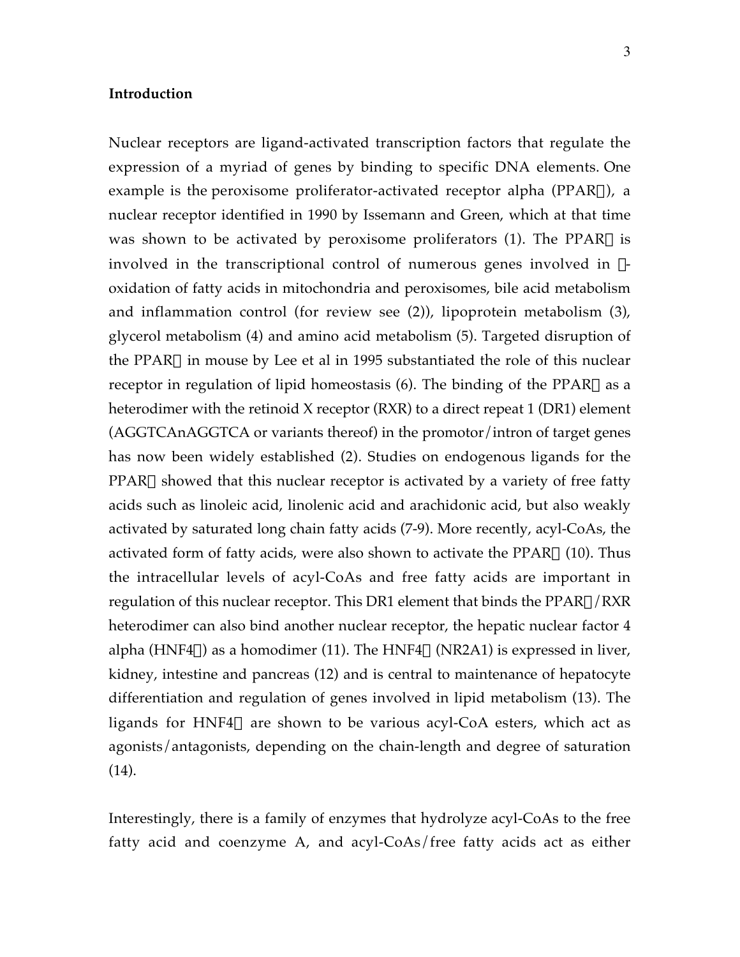# **Introduction**

Nuclear receptors are ligand-activated transcription factors that regulate the expression of a myriad of genes by binding to specific DNA elements. One example is the peroxisome proliferator-activated receptor alpha (PPAR $\alpha$ ), a nuclear receptor identified in 1990 by Issemann and Green, which at that time was shown to be activated by peroxisome proliferators (1). The PPAR $\alpha$  is involved in the transcriptional control of numerous genes involved in  $\beta$ oxidation of fatty acids in mitochondria and peroxisomes, bile acid metabolism and inflammation control (for review see (2)), lipoprotein metabolism (3), glycerol metabolism (4) and amino acid metabolism (5). Targeted disruption of the PPAR $\alpha$  in mouse by Lee et al in 1995 substantiated the role of this nuclear receptor in regulation of lipid homeostasis  $(6)$ . The binding of the PPAR $\alpha$  as a heterodimer with the retinoid X receptor (RXR) to a direct repeat 1 (DR1) element (AGGTCAnAGGTCA or variants thereof) in the promotor/intron of target genes has now been widely established (2). Studies on endogenous ligands for the  $PPAR\alpha$  showed that this nuclear receptor is activated by a variety of free fatty acids such as linoleic acid, linolenic acid and arachidonic acid, but also weakly activated by saturated long chain fatty acids (7-9). More recently, acyl-CoAs, the activated form of fatty acids, were also shown to activate the PPAR $\alpha$  (10). Thus the intracellular levels of acyl-CoAs and free fatty acids are important in regulation of this nuclear receptor. This DR1 element that binds the  $PPAR\alpha/RXR$ heterodimer can also bind another nuclear receptor, the hepatic nuclear factor 4 alpha (HNF4 $\alpha$ ) as a homodimer (11). The HNF4 $\alpha$  (NR2A1) is expressed in liver, kidney, intestine and pancreas (12) and is central to maintenance of hepatocyte differentiation and regulation of genes involved in lipid metabolism (13). The ligands for HNF4 $\alpha$  are shown to be various acyl-CoA esters, which act as agonists/antagonists, depending on the chain-length and degree of saturation (14).

Interestingly, there is a family of enzymes that hydrolyze acyl-CoAs to the free fatty acid and coenzyme A, and acyl-CoAs/free fatty acids act as either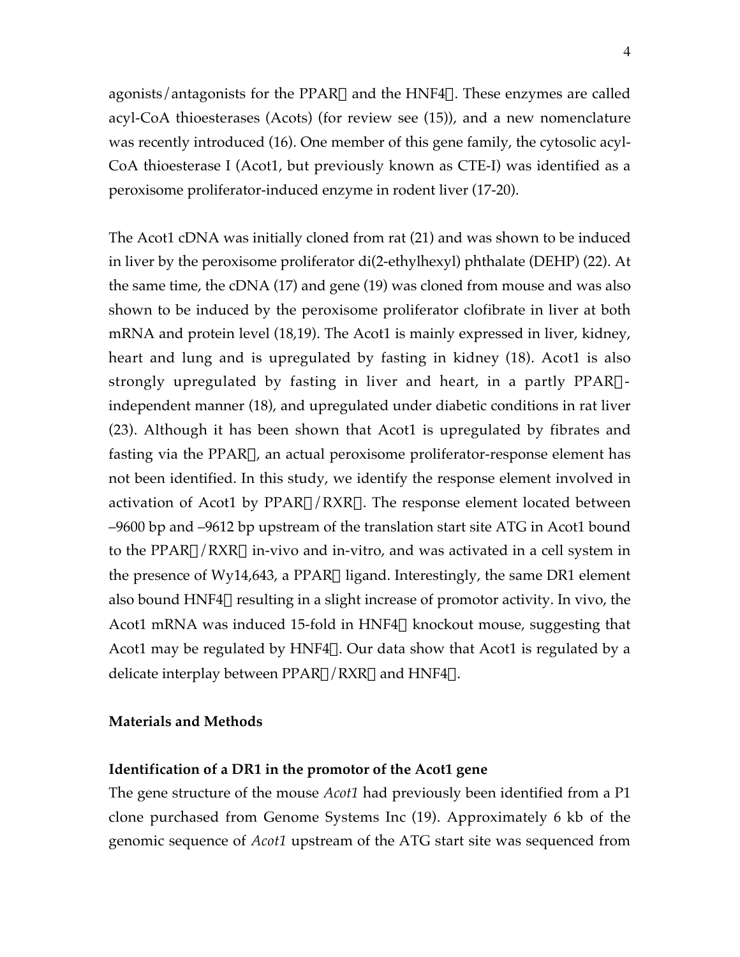agonists/antagonists for the PPAR $\alpha$  and the HNF4 $\alpha$ . These enzymes are called acyl-CoA thioesterases (Acots) (for review see (15)), and a new nomenclature was recently introduced (16). One member of this gene family, the cytosolic acyl-CoA thioesterase I (Acot1, but previously known as CTE-I) was identified as a peroxisome proliferator-induced enzyme in rodent liver (17-20).

The Acot1 cDNA was initially cloned from rat (21) and was shown to be induced in liver by the peroxisome proliferator di(2-ethylhexyl) phthalate (DEHP) (22). At the same time, the cDNA (17) and gene (19) was cloned from mouse and was also shown to be induced by the peroxisome proliferator clofibrate in liver at both mRNA and protein level (18,19). The Acot1 is mainly expressed in liver, kidney, heart and lung and is upregulated by fasting in kidney (18). Acot1 is also strongly upregulated by fasting in liver and heart, in a partly PPAR $\alpha$ independent manner (18), and upregulated under diabetic conditions in rat liver (23). Although it has been shown that Acot1 is upregulated by fibrates and fasting via the PPARa, an actual peroxisome proliferator-response element has not been identified. In this study, we identify the response element involved in activation of Acot1 by  $PPAR\alpha/RXR\alpha$ . The response element located between –9600 bp and –9612 bp upstream of the translation start site ATG in Acot1 bound to the PPAR $\alpha$ /RXR $\alpha$  in-vivo and in-vitro, and was activated in a cell system in the presence of Wy14,643, a PPAR $\alpha$  ligand. Interestingly, the same DR1 element also bound HNF4 $\alpha$  resulting in a slight increase of promotor activity. In vivo, the Acot1 mRNA was induced 15-fold in HNF4 $\alpha$  knockout mouse, suggesting that Acot1 may be regulated by HNF4 $\alpha$ . Our data show that Acot1 is regulated by a delicate interplay between  $PPAR\alpha/RXR\alpha$  and  $HNF4\alpha$ .

### **Materials and Methods**

### **Identification of a DR1 in the promotor of the Acot1 gene**

The gene structure of the mouse *Acot1* had previously been identified from a P1 clone purchased from Genome Systems Inc (19). Approximately 6 kb of the genomic sequence of *Acot1* upstream of the ATG start site was sequenced from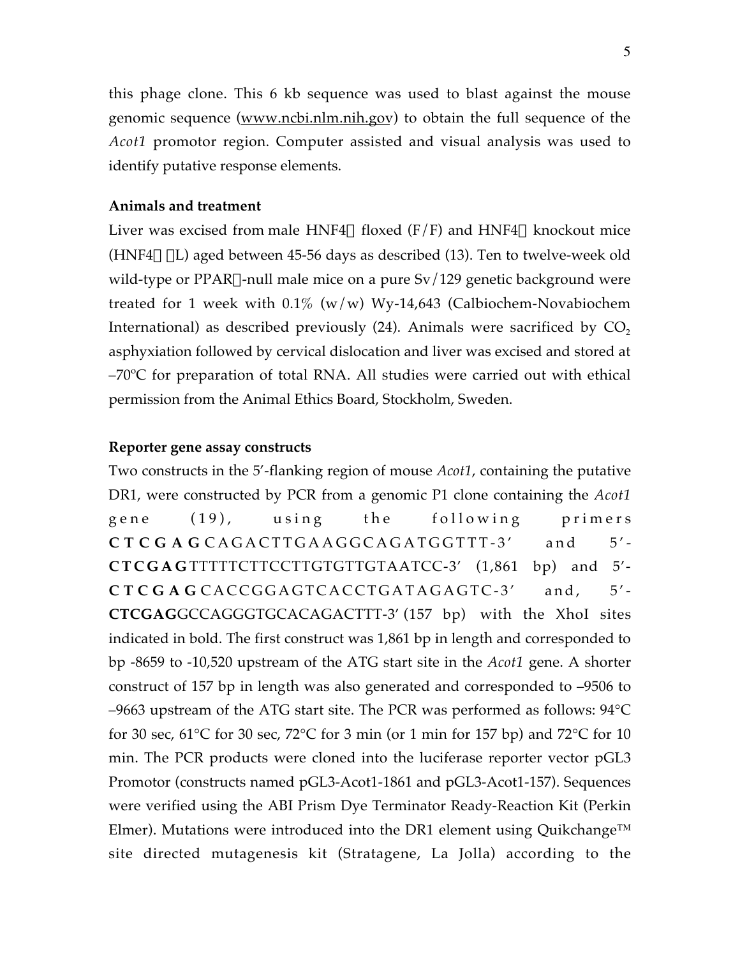this phage clone. This 6 kb sequence was used to blast against the mouse genomic sequence (www.ncbi.nlm.nih.gov) to obtain the full sequence of the *Acot1* promotor region. Computer assisted and visual analysis was used to identify putative response elements.

# **Animals and treatment**

Liver was excised from male HNF4 $\alpha$  floxed (F/F) and HNF4 $\alpha$  knockout mice (HNF4 $\alpha$   $\Delta$ L) aged between 45-56 days as described (13). Ten to twelve-week old wild-type or PPAR $\alpha$ -null male mice on a pure Sv/129 genetic background were treated for 1 week with  $0.1\%$  (w/w) Wy-14,643 (Calbiochem-Novabiochem International) as described previously  $(24)$ . Animals were sacrificed by  $CO<sub>2</sub>$ asphyxiation followed by cervical dislocation and liver was excised and stored at –70ºC for preparation of total RNA. All studies were carried out with ethical permission from the Animal Ethics Board, Stockholm, Sweden.

### **Reporter gene assay constructs**

Two constructs in the 5'-flanking region of mouse *Acot1*, containing the putative DR1, were constructed by PCR from a genomic P1 clone containing the *Acot1* gene (19), using the following primers **CTCGAG** CAGACTTGAAGGCAGATGGTTT-3' and 5'- **CTCGAG** TTTTTCTTCCTTGTGTTGTAATCC-3' (1,861 bp) and 5'- **CTCGAG** CACCGGAGTCACCTGATAGAGTC-3' and, 5'- **CTCGAG**GCCAGGGTGCACAGACTTT-3' (157 bp) with the XhoI sites indicated in bold. The first construct was 1,861 bp in length and corresponded to bp -8659 to -10,520 upstream of the ATG start site in the *Acot1* gene. A shorter construct of 157 bp in length was also generated and corresponded to –9506 to –9663 upstream of the ATG start site. The PCR was performed as follows: 94°C for 30 sec, 61 $\degree$ C for 30 sec, 72 $\degree$ C for 3 min (or 1 min for 157 bp) and 72 $\degree$ C for 10 min. The PCR products were cloned into the luciferase reporter vector pGL3 Promotor (constructs named pGL3-Acot1-1861 and pGL3-Acot1-157). Sequences were verified using the ABI Prism Dye Terminator Ready-Reaction Kit (Perkin Elmer). Mutations were introduced into the DR1 element using Quikchange™ site directed mutagenesis kit (Stratagene, La Jolla) according to the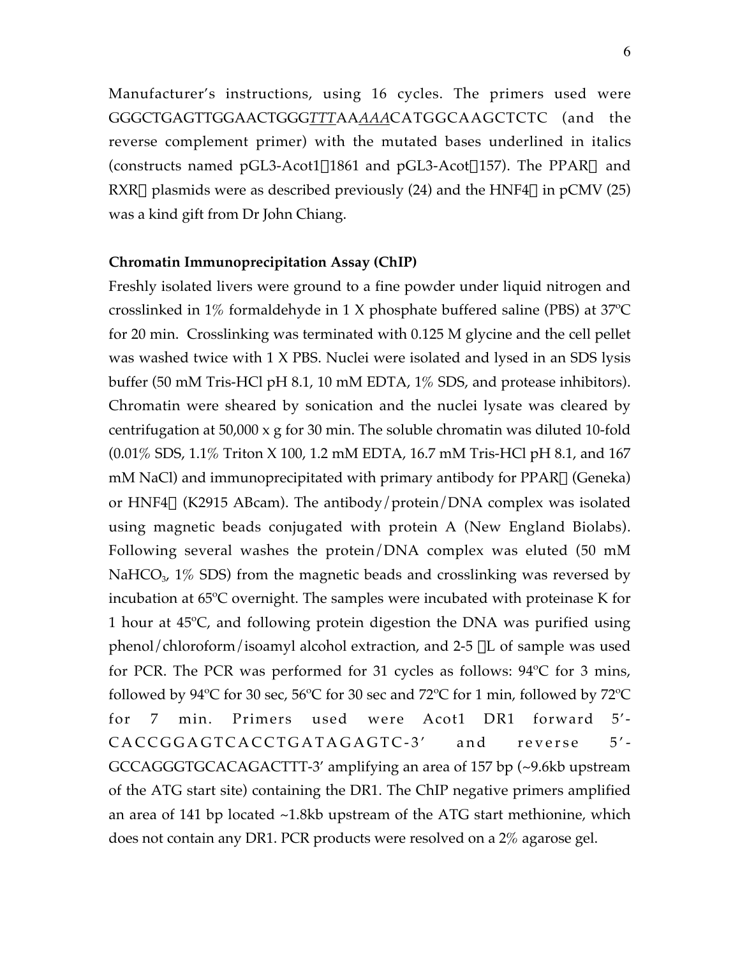Manufacturer's instructions, using 16 cycles. The primers used were GGGCTGAGTTGGAACTGGG*TTT*AA*AAA*CATGGCAAGCTCTC (and the reverse complement primer) with the mutated bases underlined in italics (constructs named pGL3-Acot1 $\triangle 1861$  and pGL3-Acot $\triangle 157$ ). The PPAR $\alpha$  and RXR $\alpha$  plasmids were as described previously (24) and the HNF4 $\alpha$  in pCMV (25) was a kind gift from Dr John Chiang.

# **Chromatin Immunoprecipitation Assay (ChIP)**

Freshly isolated livers were ground to a fine powder under liquid nitrogen and crosslinked in 1% formaldehyde in 1 X phosphate buffered saline (PBS) at 37ºC for 20 min. Crosslinking was terminated with 0.125 M glycine and the cell pellet was washed twice with 1 X PBS. Nuclei were isolated and lysed in an SDS lysis buffer (50 mM Tris-HCl pH 8.1, 10 mM EDTA, 1% SDS, and protease inhibitors). Chromatin were sheared by sonication and the nuclei lysate was cleared by centrifugation at 50,000 x g for 30 min. The soluble chromatin was diluted 10-fold (0.01% SDS, 1.1% Triton X 100, 1.2 mM EDTA, 16.7 mM Tris-HCl pH 8.1, and 167 mM NaCl) and immunoprecipitated with primary antibody for  $PPAR\alpha$  (Geneka) or HNF4 $\alpha$  (K2915 ABcam). The antibody/protein/DNA complex was isolated using magnetic beads conjugated with protein A (New England Biolabs). Following several washes the protein/DNA complex was eluted (50 mM NaHCO<sub>3</sub>, 1\% SDS) from the magnetic beads and crosslinking was reversed by incubation at 65ºC overnight. The samples were incubated with proteinase K for 1 hour at 45ºC, and following protein digestion the DNA was purified using phenol/chloroform/isoamyl alcohol extraction, and  $2-5 \mu L$  of sample was used for PCR. The PCR was performed for 31 cycles as follows: 94ºC for 3 mins, followed by 94 $\degree$ C for 30 sec, 56 $\degree$ C for 30 sec and 72 $\degree$ C for 1 min, followed by 72 $\degree$ C for 7 min. Primers used were Acot1 DR1 forward 5'- CACCGGAGTCACCTGATAGAGTC-3' and reverse 5'- GCCAGGGTGCACAGACTTT-3' amplifying an area of 157 bp (~9.6kb upstream of the ATG start site) containing the DR1. The ChIP negative primers amplified an area of 141 bp located ~1.8kb upstream of the ATG start methionine, which does not contain any DR1. PCR products were resolved on a 2% agarose gel.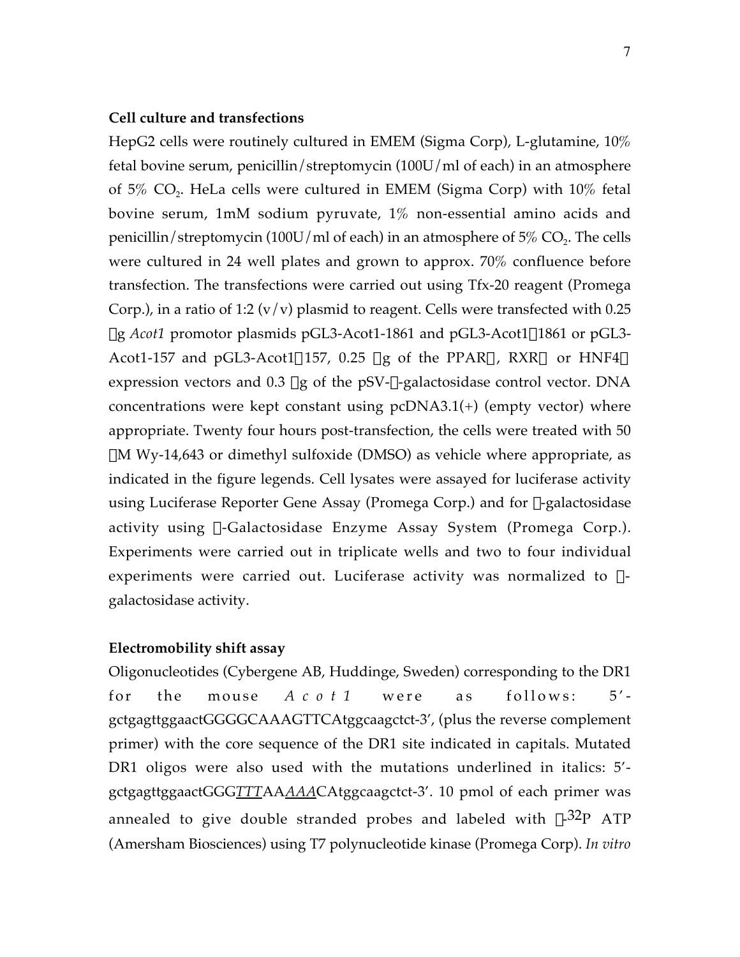# **Cell culture and transfections**

HepG2 cells were routinely cultured in EMEM (Sigma Corp), L-glutamine, 10% fetal bovine serum, penicillin/streptomycin (100U/ml of each) in an atmosphere of  $5\%$  CO<sub>2</sub>. HeLa cells were cultured in EMEM (Sigma Corp) with  $10\%$  fetal bovine serum, 1mM sodium pyruvate, 1% non-essential amino acids and penicillin/streptomycin (100U/ml of each) in an atmosphere of  $5\%$  CO<sub>2</sub>. The cells were cultured in 24 well plates and grown to approx. 70% confluence before transfection. The transfections were carried out using Tfx-20 reagent (Promega Corp.), in a ratio of 1:2 (v/v) plasmid to reagent. Cells were transfected with 0.25 μg *Acot1* promotor plasmids pGL3-Acot1-1861 and pGL3-Acot1Δ1861 or pGL3-Acot1-157 and pGL3-Acot1 $\triangle 157$ , 0.25 µg of the PPAR $\alpha$ , RXR $\alpha$  or HNF4 $\alpha$ expression vectors and  $0.3 \mu g$  of the pSV- $\beta$ -galactosidase control vector. DNA concentrations were kept constant using  $pcDNA3.1(+)$  (empty vector) where appropriate. Twenty four hours post-transfection, the cells were treated with 50  $\mu$ M Wy-14,643 or dimethyl sulfoxide (DMSO) as vehicle where appropriate, as indicated in the figure legends. Cell lysates were assayed for luciferase activity using Luciferase Reporter Gene Assay (Promega Corp.) and for  $\beta$ -galactosidase activity using b-Galactosidase Enzyme Assay System (Promega Corp.). Experiments were carried out in triplicate wells and two to four individual experiments were carried out. Luciferase activity was normalized to  $\beta$ galactosidase activity.

# **Electromobility shift assay**

Oligonucleotides (Cybergene AB, Huddinge, Sweden) corresponding to the DR1 for the mouse *Acot1* were as follows: 5' gctgagttggaactGGGGCAAAGTTCAtggcaagctct-3', (plus the reverse complement primer) with the core sequence of the DR1 site indicated in capitals. Mutated DR1 oligos were also used with the mutations underlined in italics: 5' gctgagttggaactGGG*TTT*AA*AAA*CAtggcaagctct-3'. 10 pmol of each primer was annealed to give double stranded probes and labeled with  $\gamma$ -32P ATP (Amersham Biosciences) using T7 polynucleotide kinase (Promega Corp). *In vitro*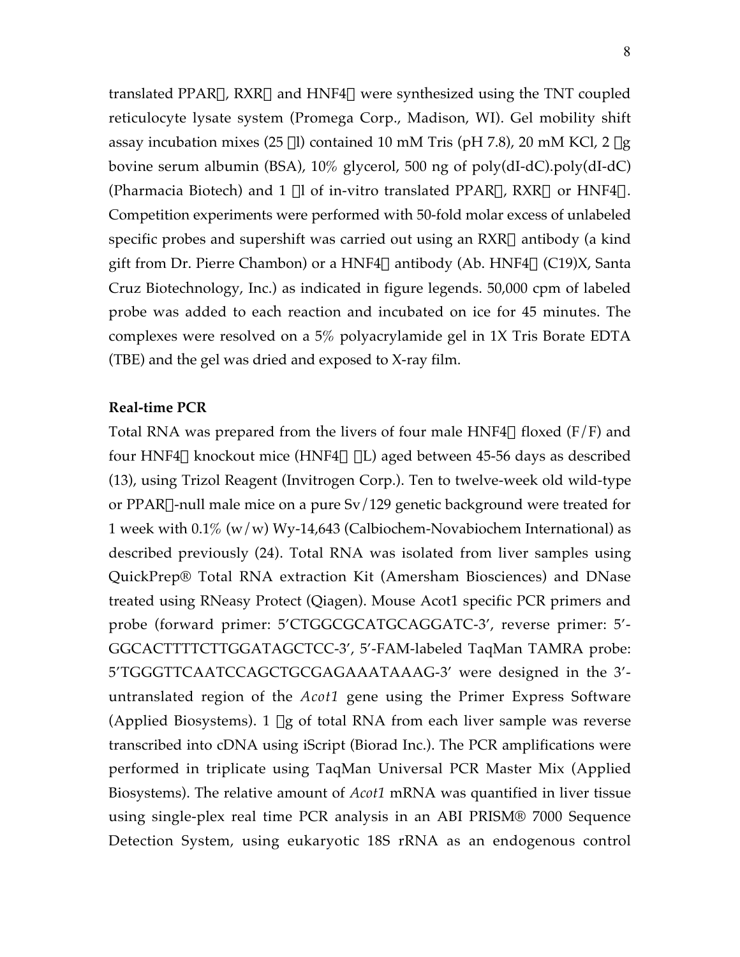translated PPAR $\alpha$ , RXR $\alpha$  and HNF4 $\alpha$  were synthesized using the TNT coupled reticulocyte lysate system (Promega Corp., Madison, WI). Gel mobility shift assay incubation mixes (25  $\mu$ l) contained 10 mM Tris (pH 7.8), 20 mM KCl, 2  $\mu$ g bovine serum albumin (BSA), 10% glycerol, 500 ng of poly(dI-dC).poly(dI-dC) (Pharmacia Biotech) and 1 µl of in-vitro translated PPAR $\alpha$ , RXR $\alpha$  or HNF4 $\alpha$ . Competition experiments were performed with 50-fold molar excess of unlabeled specific probes and supershift was carried out using an  $RXR\alpha$  antibody (a kind gift from Dr. Pierre Chambon) or a HNF4 $\alpha$  antibody (Ab. HNF4 $\alpha$  (C19)X, Santa Cruz Biotechnology, Inc.) as indicated in figure legends. 50,000 cpm of labeled probe was added to each reaction and incubated on ice for 45 minutes. The complexes were resolved on a 5% polyacrylamide gel in 1X Tris Borate EDTA (TBE) and the gel was dried and exposed to X-ray film.

# **Real-time PCR**

Total RNA was prepared from the livers of four male  $HNF4\alpha$  floxed (F/F) and four HNF4 $\alpha$  knockout mice (HNF4 $\alpha$   $\Delta$ L) aged between 45-56 days as described (13), using Trizol Reagent (Invitrogen Corp.). Ten to twelve-week old wild-type or PPAR $\alpha$ -null male mice on a pure Sv/129 genetic background were treated for 1 week with  $0.1\%$  (w/w) Wy-14,643 (Calbiochem-Novabiochem International) as described previously (24). Total RNA was isolated from liver samples using QuickPrep® Total RNA extraction Kit (Amersham Biosciences) and DNase treated using RNeasy Protect (Qiagen). Mouse Acot1 specific PCR primers and probe (forward primer: 5'CTGGCGCATGCAGGATC-3', reverse primer: 5'- GGCACTTTTCTTGGATAGCTCC-3', 5'-FAM-labeled TaqMan TAMRA probe: 5'TGGGTTCAATCCAGCTGCGAGAAATAAAG-3' were designed in the 3' untranslated region of the *Acot1* gene using the Primer Express Software (Applied Biosystems). 1  $\mu$ g of total RNA from each liver sample was reverse transcribed into cDNA using iScript (Biorad Inc.). The PCR amplifications were performed in triplicate using TaqMan Universal PCR Master Mix (Applied Biosystems). The relative amount of *Acot1* mRNA was quantified in liver tissue using single-plex real time PCR analysis in an ABI PRISM® 7000 Sequence Detection System, using eukaryotic 18S rRNA as an endogenous control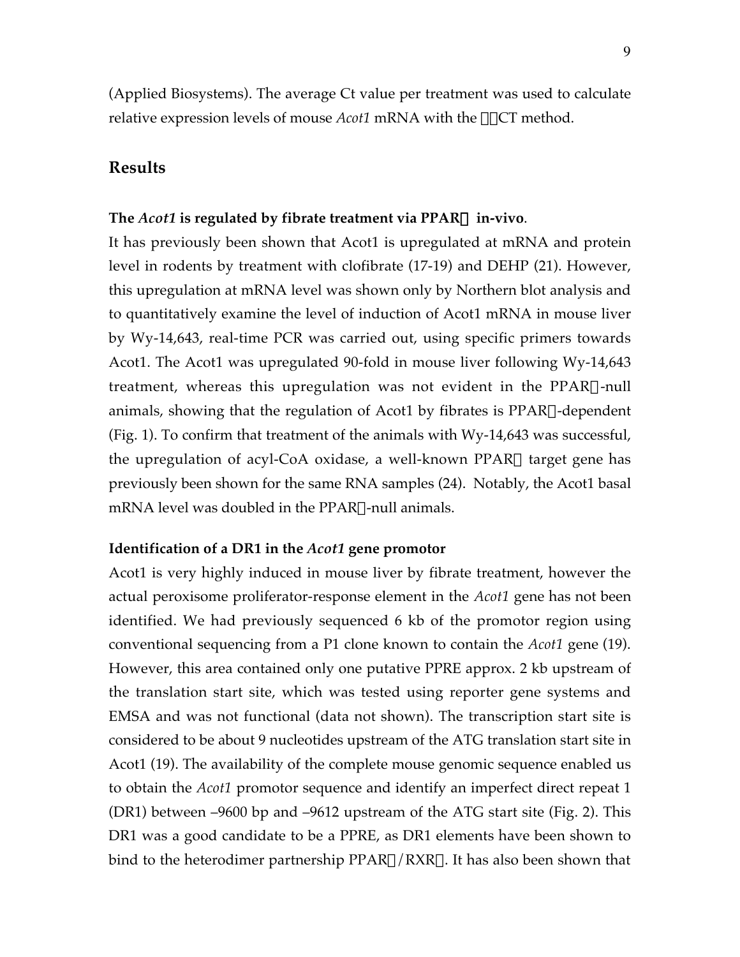(Applied Biosystems). The average Ct value per treatment was used to calculate relative expression levels of mouse *Acot1* mRNA with the ΔΔCT method.

# **Results**

# **The** *Acot1* **is regulated by fibrate treatment via PPAR**a **in-vivo**.

It has previously been shown that Acot1 is upregulated at mRNA and protein level in rodents by treatment with clofibrate (17-19) and DEHP (21). However, this upregulation at mRNA level was shown only by Northern blot analysis and to quantitatively examine the level of induction of Acot1 mRNA in mouse liver by Wy-14,643, real-time PCR was carried out, using specific primers towards Acot1. The Acot1 was upregulated 90-fold in mouse liver following Wy-14,643 treatment, whereas this upregulation was not evident in the PPAR $\alpha$ -null animals, showing that the regulation of Acot1 by fibrates is  $PPAR\alpha$ -dependent (Fig. 1). To confirm that treatment of the animals with Wy-14,643 was successful, the upregulation of acyl-CoA oxidase, a well-known PPAR $\alpha$  target gene has previously been shown for the same RNA samples (24). Notably, the Acot1 basal  $mRNA$  level was doubled in the PPAR $\alpha$ -null animals.

### **Identification of a DR1 in the** *Acot1* **gene promotor**

Acot1 is very highly induced in mouse liver by fibrate treatment, however the actual peroxisome proliferator-response element in the *Acot1* gene has not been identified. We had previously sequenced 6 kb of the promotor region using conventional sequencing from a P1 clone known to contain the *Acot1* gene (19). However, this area contained only one putative PPRE approx. 2 kb upstream of the translation start site, which was tested using reporter gene systems and EMSA and was not functional (data not shown). The transcription start site is considered to be about 9 nucleotides upstream of the ATG translation start site in Acot1 (19). The availability of the complete mouse genomic sequence enabled us to obtain the *Acot1* promotor sequence and identify an imperfect direct repeat 1 (DR1) between –9600 bp and –9612 upstream of the ATG start site (Fig. 2). This DR1 was a good candidate to be a PPRE, as DR1 elements have been shown to bind to the heterodimer partnership  $PPAR\alpha/RXR\alpha$ . It has also been shown that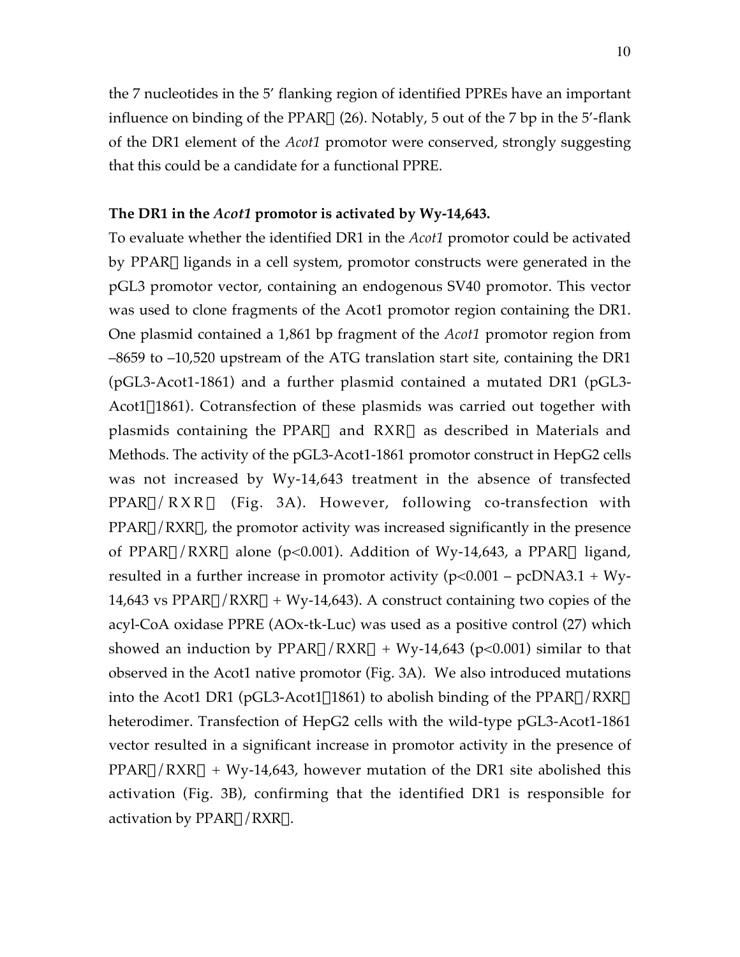the 7 nucleotides in the 5' flanking region of identified PPREs have an important influence on binding of the PPAR $\alpha$  (26). Notably, 5 out of the 7 bp in the 5'-flank of the DR1 element of the *Acot1* promotor were conserved, strongly suggesting that this could be a candidate for a functional PPRE.

# **The DR1 in the** *Acot1* **promotor is activated by Wy-14,643.**

To evaluate whether the identified DR1 in the *Acot1* promotor could be activated by PPARa ligands in a cell system, promotor constructs were generated in the pGL3 promotor vector, containing an endogenous SV40 promotor. This vector was used to clone fragments of the Acot1 promotor region containing the DR1. One plasmid contained a 1,861 bp fragment of the *Acot1* promotor region from –8659 to –10,520 upstream of the ATG translation start site, containing the DR1 (pGL3-Acot1-1861) and a further plasmid contained a mutated DR1 (pGL3-  $Acot1\Delta1861$ ). Cotransfection of these plasmids was carried out together with plasmids containing the PPAR $\alpha$  and RXR $\alpha$  as described in Materials and Methods. The activity of the pGL3-Acot1-1861 promotor construct in HepG2 cells was not increased by Wy-14,643 treatment in the absence of transfected  $PPAR\alpha/RXR\alpha$  (Fig. 3A). However, following co-transfection with  $PPAR\alpha/RXR\alpha$ , the promotor activity was increased significantly in the presence of PPAR $\alpha$ /RXR $\alpha$  alone (p<0.001). Addition of Wy-14,643, a PPAR $\alpha$  ligand, resulted in a further increase in promotor activity  $(p<0.001 - pcDNA3.1 + Wy-$ 14,643 vs PPAR $\alpha$ /RXR $\alpha$  + Wy-14,643). A construct containing two copies of the acyl-CoA oxidase PPRE (AOx-tk-Luc) was used as a positive control (27) which showed an induction by  $PPAR\alpha/RXR\alpha + Wy-14,643$  (p<0.001) similar to that observed in the Acot1 native promotor (Fig. 3A). We also introduced mutations into the Acot1 DR1 (pGL3-Acot1 $\triangle$ 1861) to abolish binding of the PPAR $\alpha$ /RXR $\alpha$ heterodimer. Transfection of HepG2 cells with the wild-type pGL3-Acot1-1861 vector resulted in a significant increase in promotor activity in the presence of  $PPAR\alpha/RXR\alpha + Wy-14,643$ , however mutation of the DR1 site abolished this activation (Fig. 3B), confirming that the identified DR1 is responsible for activation by  $PPAR\alpha/RXR\alpha$ .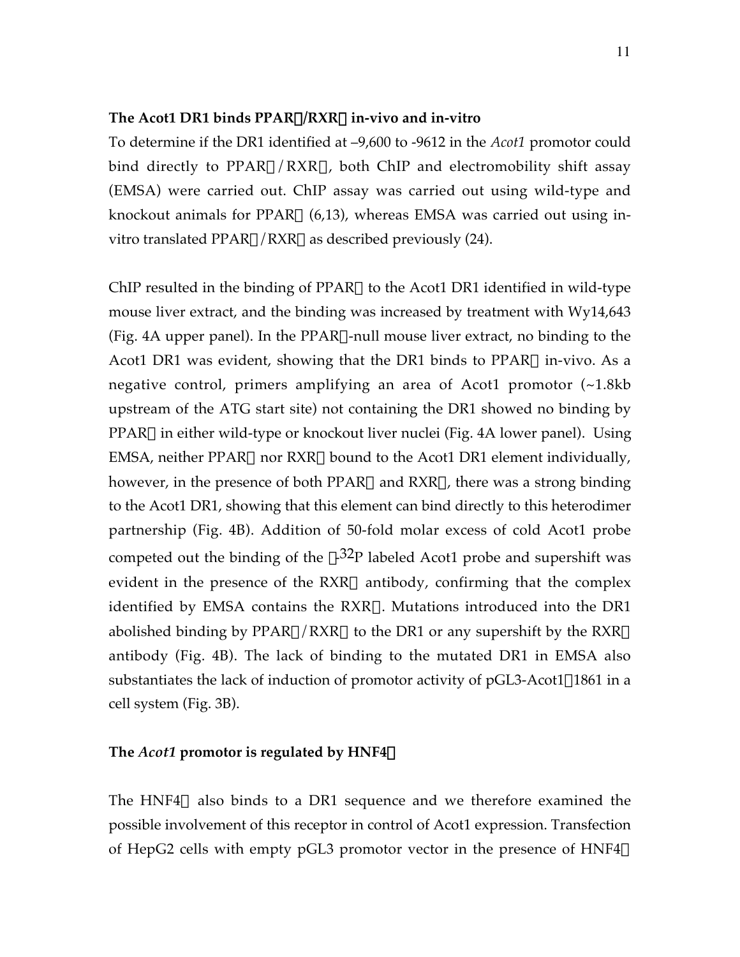# **The Acot1 DR1 binds PPAR**a**/RXR**a **in-vivo and in-vitro**

To determine if the DR1 identified at –9,600 to -9612 in the *Acot1* promotor could bind directly to PPAR $\alpha$ /RXR $\alpha$ , both ChIP and electromobility shift assay (EMSA) were carried out. ChIP assay was carried out using wild-type and knockout animals for PPAR $\alpha$  (6,13), whereas EMSA was carried out using invitro translated PPAR $\alpha$ /RXR $\alpha$  as described previously (24).

ChIP resulted in the binding of  $PPAR\alpha$  to the Acot1 DR1 identified in wild-type mouse liver extract, and the binding was increased by treatment with Wy14,643 (Fig. 4A upper panel). In the PPAR $\alpha$ -null mouse liver extract, no binding to the Acot1 DR1 was evident, showing that the DR1 binds to  $PPAR\alpha$  in-vivo. As a negative control, primers amplifying an area of Acot1 promotor (~1.8kb upstream of the ATG start site) not containing the DR1 showed no binding by PPARa in either wild-type or knockout liver nuclei (Fig. 4A lower panel). Using EMSA, neither PPAR $\alpha$  nor RXR $\alpha$  bound to the Acot1 DR1 element individually, however, in the presence of both PPAR $\alpha$  and RXR $\alpha$ , there was a strong binding to the Acot1 DR1, showing that this element can bind directly to this heterodimer partnership (Fig. 4B). Addition of 50-fold molar excess of cold Acot1 probe competed out the binding of the  $\gamma$ -32P labeled Acot1 probe and supershift was evident in the presence of the  $RXR\alpha$  antibody, confirming that the complex identified by EMSA contains the RXRa. Mutations introduced into the DR1 abolished binding by PPAR $\alpha$ /RXR $\alpha$  to the DR1 or any supershift by the RXR $\alpha$ antibody (Fig. 4B). The lack of binding to the mutated DR1 in EMSA also substantiates the lack of induction of promotor activity of  $pGL3$ -Acot1 $\triangle 1861$  in a cell system (Fig. 3B).

### The  $Acot1$  promotor is regulated by HNF4 $\alpha$

The HNF4 $\alpha$  also binds to a DR1 sequence and we therefore examined the possible involvement of this receptor in control of Acot1 expression. Transfection of HepG2 cells with empty pGL3 promotor vector in the presence of HNF4 $\alpha$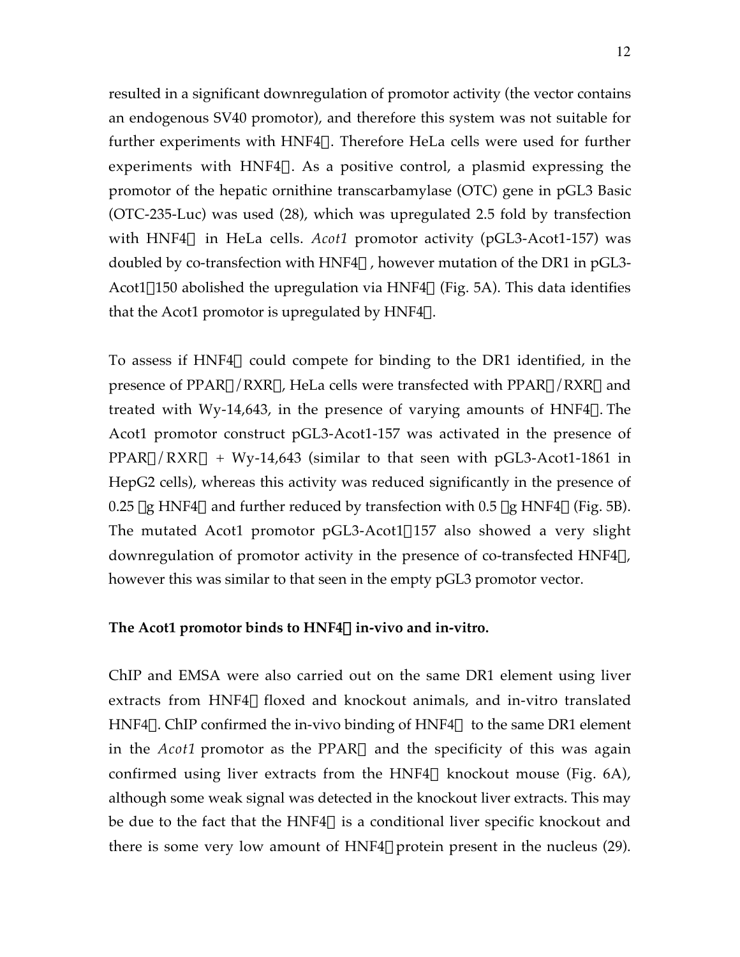resulted in a significant downregulation of promotor activity (the vector contains an endogenous SV40 promotor), and therefore this system was not suitable for further experiments with  $HNF4\alpha$ . Therefore HeLa cells were used for further experiments with HNF4 $\alpha$ . As a positive control, a plasmid expressing the promotor of the hepatic ornithine transcarbamylase (OTC) gene in pGL3 Basic (OTC-235-Luc) was used (28), which was upregulated 2.5 fold by transfection with HNF4 $\alpha$  in HeLa cells. *Acot1* promotor activity (pGL3-Acot1-157) was doubled by co-transfection with  $HNF4\alpha$ , however mutation of the DR1 in pGL3-Acot1 $\Delta$ 150 abolished the upregulation via HNF4 $\alpha$  (Fig. 5A). This data identifies that the Acot1 promotor is upregulated by  $HNF4\alpha$ .

To assess if HNF4 $\alpha$  could compete for binding to the DR1 identified, in the presence of PPAR $\alpha$ /RXR $\alpha$ , HeLa cells were transfected with PPAR $\alpha$ /RXR $\alpha$  and treated with Wy-14,643, in the presence of varying amounts of  $HNF4\alpha$ . The Acot1 promotor construct pGL3-Acot1-157 was activated in the presence of  $PPAR\alpha/RXR\alpha + Wy-14,643$  (similar to that seen with pGL3-Acot1-1861 in HepG2 cells), whereas this activity was reduced significantly in the presence of 0.25 µg HNF4 $\alpha$  and further reduced by transfection with 0.5 µg HNF4 $\alpha$  (Fig. 5B). The mutated Acot1 promotor  $pGL3$ -Acot1 $\Delta$ 157 also showed a very slight downregulation of promotor activity in the presence of co-transfected HNF4 $\alpha$ , however this was similar to that seen in the empty pGL3 promotor vector.

# **The Acot1 promotor binds to HNF4**a **in-vivo and in-vitro.**

ChIP and EMSA were also carried out on the same DR1 element using liver extracts from HNF4 $\alpha$  floxed and knockout animals, and in-vitro translated HNF4 $\alpha$ . ChIP confirmed the in-vivo binding of HNF4 $\alpha$  to the same DR1 element in the *Acot1* promotor as the PPARa and the specificity of this was again confirmed using liver extracts from the HNF4 $\alpha$  knockout mouse (Fig. 6A), although some weak signal was detected in the knockout liver extracts. This may be due to the fact that the HNF4 $\alpha$  is a conditional liver specific knockout and there is some very low amount of  $HNF4\alpha$  protein present in the nucleus (29).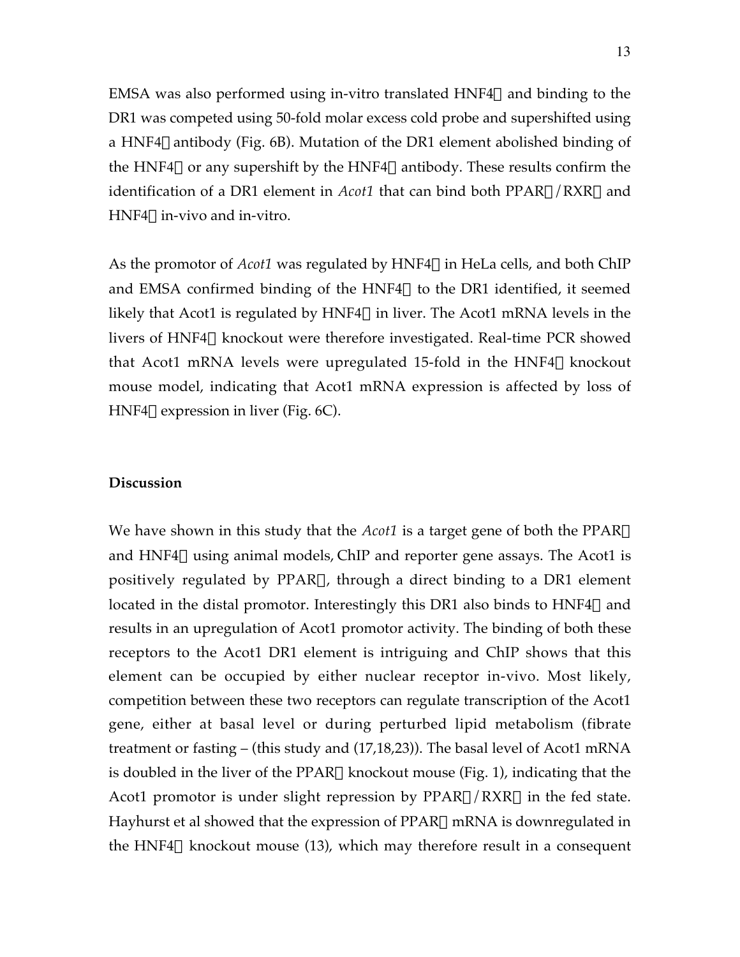EMSA was also performed using in-vitro translated  $HNF4\alpha$  and binding to the DR1 was competed using 50-fold molar excess cold probe and supershifted using a HNF4 $\alpha$  antibody (Fig. 6B). Mutation of the DR1 element abolished binding of the HNF4 $\alpha$  or any supershift by the HNF4 $\alpha$  antibody. These results confirm the identification of a DR1 element in *Acot1* that can bind both PPARa/RXRa and  $HNF4\alpha$  in-vivo and in-vitro.

As the promotor of  $Acot1$  was regulated by  $HNF4\alpha$  in HeLa cells, and both ChIP and EMSA confirmed binding of the HNF4 $\alpha$  to the DR1 identified, it seemed likely that Acot1 is regulated by HNF4 $\alpha$  in liver. The Acot1 mRNA levels in the livers of HNF4 $\alpha$  knockout were therefore investigated. Real-time PCR showed that Acot1 mRNA levels were upregulated 15-fold in the  $HNF4\alpha$  knockout mouse model, indicating that Acot1 mRNA expression is affected by loss of HNF4 $\alpha$  expression in liver (Fig. 6C).

## **Discussion**

We have shown in this study that the *Acot1* is a target gene of both the PPARa and HNF4 $\alpha$  using animal models, ChIP and reporter gene assays. The Acot1 is positively regulated by PPARa, through a direct binding to a DR1 element located in the distal promotor. Interestingly this DR1 also binds to  $HNF4\alpha$  and results in an upregulation of Acot1 promotor activity. The binding of both these receptors to the Acot1 DR1 element is intriguing and ChIP shows that this element can be occupied by either nuclear receptor in-vivo. Most likely, competition between these two receptors can regulate transcription of the Acot1 gene, either at basal level or during perturbed lipid metabolism (fibrate treatment or fasting – (this study and (17,18,23)). The basal level of Acot1 mRNA is doubled in the liver of the PPARa knockout mouse (Fig. 1), indicating that the Acot1 promotor is under slight repression by  $PPAR\alpha/RXR\alpha$  in the fed state. Hayhurst et al showed that the expression of  $PPAR\alpha$  mRNA is downregulated in the HNF4 $\alpha$  knockout mouse (13), which may therefore result in a consequent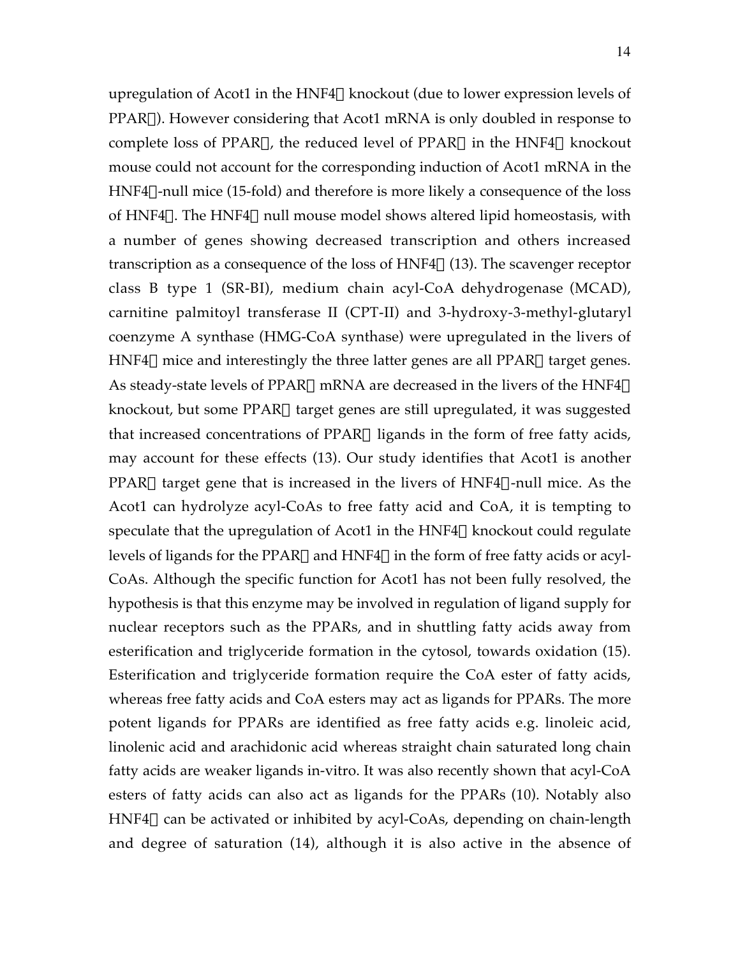upregulation of Acot1 in the HNF4 $\alpha$  knockout (due to lower expression levels of  $PPAR\alpha$ ). However considering that Acot1 mRNA is only doubled in response to complete loss of PPAR $\alpha$ , the reduced level of PPAR $\alpha$  in the HNF4 $\alpha$  knockout mouse could not account for the corresponding induction of Acot1 mRNA in the  $HNF4\alpha$ -null mice (15-fold) and therefore is more likely a consequence of the loss of HNF4 $\alpha$ . The HNF4 $\alpha$  null mouse model shows altered lipid homeostasis, with a number of genes showing decreased transcription and others increased transcription as a consequence of the loss of  $HNF4\alpha$  (13). The scavenger receptor class B type 1 (SR-BI), medium chain acyl-CoA dehydrogenase (MCAD), carnitine palmitoyl transferase II (CPT-II) and 3-hydroxy-3-methyl-glutaryl coenzyme A synthase (HMG-CoA synthase) were upregulated in the livers of HNF4 $\alpha$  mice and interestingly the three latter genes are all PPAR $\alpha$  target genes. As steady-state levels of PPAR $\alpha$  mRNA are decreased in the livers of the HNF4 $\alpha$ knockout, but some PPARa target genes are still upregulated, it was suggested that increased concentrations of  $PPAR\alpha$  ligands in the form of free fatty acids, may account for these effects (13). Our study identifies that Acot1 is another PPAR $\alpha$  target gene that is increased in the livers of HNF4 $\alpha$ -null mice. As the Acot1 can hydrolyze acyl-CoAs to free fatty acid and CoA, it is tempting to speculate that the upregulation of Acot1 in the  $HNF4\alpha$  knockout could regulate levels of ligands for the PPAR $\alpha$  and HNF4 $\alpha$  in the form of free fatty acids or acyl-CoAs. Although the specific function for Acot1 has not been fully resolved, the hypothesis is that this enzyme may be involved in regulation of ligand supply for nuclear receptors such as the PPARs, and in shuttling fatty acids away from esterification and triglyceride formation in the cytosol, towards oxidation (15). Esterification and triglyceride formation require the CoA ester of fatty acids, whereas free fatty acids and CoA esters may act as ligands for PPARs. The more potent ligands for PPARs are identified as free fatty acids e.g. linoleic acid, linolenic acid and arachidonic acid whereas straight chain saturated long chain fatty acids are weaker ligands in-vitro. It was also recently shown that acyl-CoA esters of fatty acids can also act as ligands for the PPARs (10). Notably also  $HNF4\alpha$  can be activated or inhibited by acyl-CoAs, depending on chain-length and degree of saturation (14), although it is also active in the absence of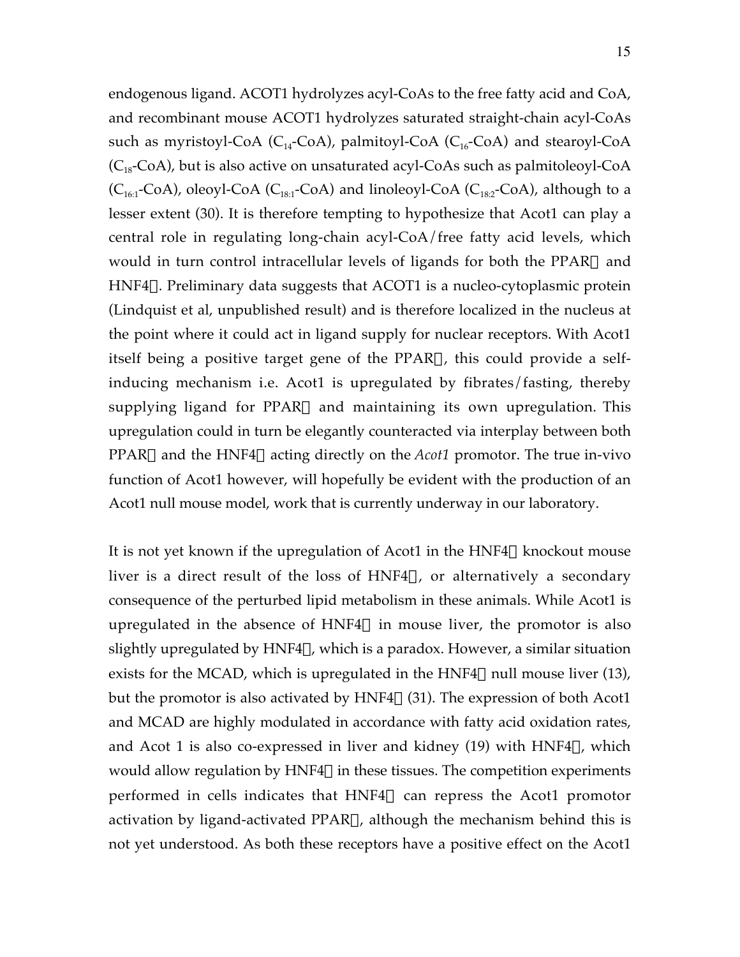endogenous ligand. ACOT1 hydrolyzes acyl-CoAs to the free fatty acid and CoA, and recombinant mouse ACOT1 hydrolyzes saturated straight-chain acyl-CoAs such as myristoyl-CoA  $(C_{14}$ -CoA), palmitoyl-CoA  $(C_{16}$ -CoA) and stearoyl-CoA  $(C_{18}-CoA)$ , but is also active on unsaturated acyl-CoAs such as palmitoleoyl-CoA  $(C_{16:1}-CoA)$ , oleoyl-CoA  $(C_{18:1}-CoA)$  and linoleoyl-CoA  $(C_{18:2}-CoA)$ , although to a lesser extent (30). It is therefore tempting to hypothesize that Acot1 can play a central role in regulating long-chain acyl-CoA/free fatty acid levels, which would in turn control intracellular levels of ligands for both the PPAR $\alpha$  and  $HNF4\alpha$ . Preliminary data suggests that ACOT1 is a nucleo-cytoplasmic protein (Lindquist et al, unpublished result) and is therefore localized in the nucleus at the point where it could act in ligand supply for nuclear receptors. With Acot1 itself being a positive target gene of the  $PPAR\alpha$ , this could provide a selfinducing mechanism i.e. Acot1 is upregulated by fibrates/fasting, thereby supplying ligand for PPAR $\alpha$  and maintaining its own upregulation. This upregulation could in turn be elegantly counteracted via interplay between both PPAR $\alpha$  and the HNF4 $\alpha$  acting directly on the *Acot1* promotor. The true in-vivo function of Acot1 however, will hopefully be evident with the production of an Acot1 null mouse model, work that is currently underway in our laboratory.

It is not yet known if the upregulation of Acot1 in the  $HNF4\alpha$  knockout mouse liver is a direct result of the loss of HNF4 $\alpha$ , or alternatively a secondary consequence of the perturbed lipid metabolism in these animals. While Acot1 is upregulated in the absence of HNF4 $\alpha$  in mouse liver, the promotor is also slightly upregulated by  $HNF4\alpha$ , which is a paradox. However, a similar situation exists for the MCAD, which is upregulated in the HNF4 $\alpha$  null mouse liver (13), but the promotor is also activated by  $HNF4\alpha$  (31). The expression of both Acot1 and MCAD are highly modulated in accordance with fatty acid oxidation rates, and Acot 1 is also co-expressed in liver and kidney (19) with  $HNF4\alpha$ , which would allow regulation by HNF4 $\alpha$  in these tissues. The competition experiments performed in cells indicates that  $HNF4\alpha$  can repress the Acot1 promotor activation by ligand-activated  $PPAR\alpha$ , although the mechanism behind this is not yet understood. As both these receptors have a positive effect on the Acot1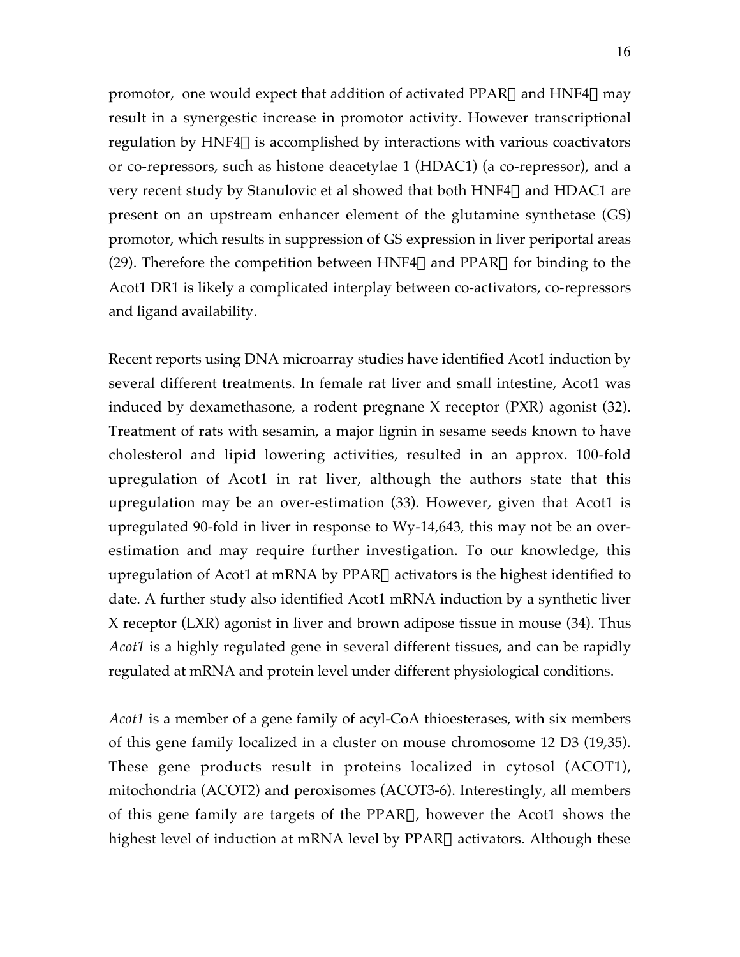promotor, one would expect that addition of activated PPAR $\alpha$  and HNF4 $\alpha$  may result in a synergestic increase in promotor activity. However transcriptional regulation by HNF4 $\alpha$  is accomplished by interactions with various coactivators or co-repressors, such as histone deacetylae 1 (HDAC1) (a co-repressor), and a very recent study by Stanulovic et al showed that both  $HNF4\alpha$  and  $HDAC1$  are present on an upstream enhancer element of the glutamine synthetase (GS) promotor, which results in suppression of GS expression in liver periportal areas (29). Therefore the competition between HNF4 $\alpha$  and PPAR $\alpha$  for binding to the Acot1 DR1 is likely a complicated interplay between co-activators, co-repressors and ligand availability.

Recent reports using DNA microarray studies have identified Acot1 induction by several different treatments. In female rat liver and small intestine, Acot1 was induced by dexamethasone, a rodent pregnane X receptor (PXR) agonist (32). Treatment of rats with sesamin, a major lignin in sesame seeds known to have cholesterol and lipid lowering activities, resulted in an approx. 100-fold upregulation of Acot1 in rat liver, although the authors state that this upregulation may be an over-estimation (33). However, given that Acot1 is upregulated 90-fold in liver in response to Wy-14,643, this may not be an overestimation and may require further investigation. To our knowledge, this upregulation of Acot1 at mRNA by  $PPAR\alpha$  activators is the highest identified to date. A further study also identified Acot1 mRNA induction by a synthetic liver X receptor (LXR) agonist in liver and brown adipose tissue in mouse (34). Thus *Acot1* is a highly regulated gene in several different tissues, and can be rapidly regulated at mRNA and protein level under different physiological conditions.

*Acot1* is a member of a gene family of acyl-CoA thioesterases, with six members of this gene family localized in a cluster on mouse chromosome 12 D3 (19,35). These gene products result in proteins localized in cytosol (ACOT1), mitochondria (ACOT2) and peroxisomes (ACOT3-6). Interestingly, all members of this gene family are targets of the PPAR $\alpha$ , however the Acot1 shows the highest level of induction at mRNA level by  $PPAR\alpha$  activators. Although these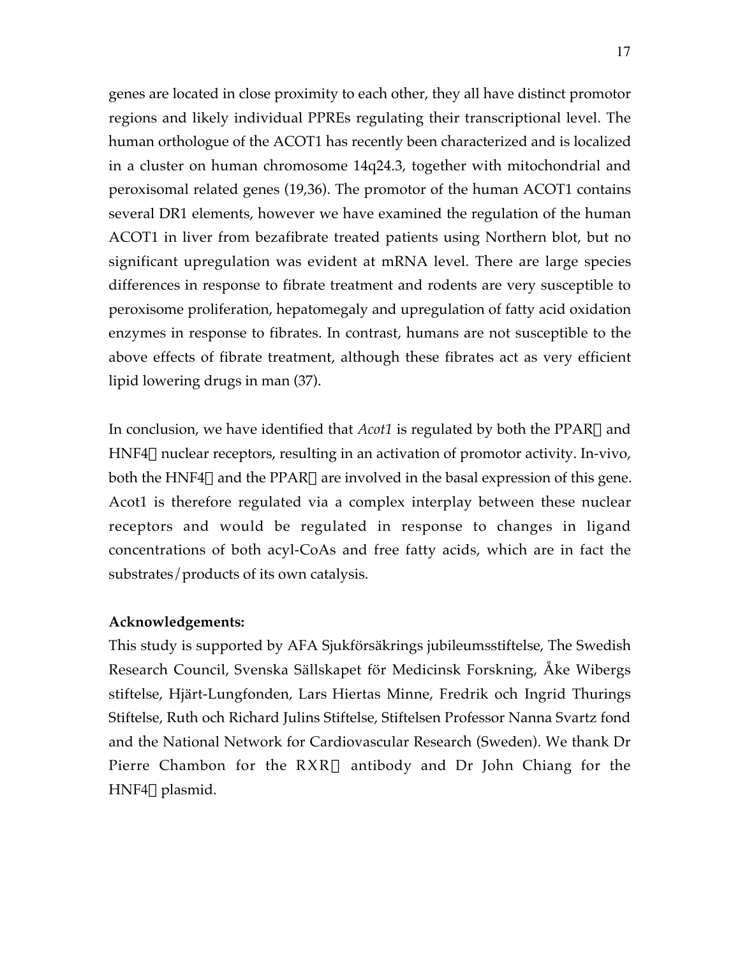genes are located in close proximity to each other, they all have distinct promotor regions and likely individual PPREs regulating their transcriptional level. The human orthologue of the ACOT1 has recently been characterized and is localized in a cluster on human chromosome 14q24.3, together with mitochondrial and peroxisomal related genes (19,36). The promotor of the human ACOT1 contains several DR1 elements, however we have examined the regulation of the human ACOT1 in liver from bezafibrate treated patients using Northern blot, but no significant upregulation was evident at mRNA level. There are large species differences in response to fibrate treatment and rodents are very susceptible to peroxisome proliferation, hepatomegaly and upregulation of fatty acid oxidation enzymes in response to fibrates. In contrast, humans are not susceptible to the above effects of fibrate treatment, although these fibrates act as very efficient lipid lowering drugs in man (37).

In conclusion, we have identified that *Acot1* is regulated by both the PPARa and  $HNF4\alpha$  nuclear receptors, resulting in an activation of promotor activity. In-vivo, both the HNF4 $\alpha$  and the PPAR $\alpha$  are involved in the basal expression of this gene. Acot1 is therefore regulated via a complex interplay between these nuclear receptors and would be regulated in response to changes in ligand concentrations of both acyl-CoAs and free fatty acids, which are in fact the substrates/products of its own catalysis.

# **Acknowledgements:**

This study is supported by AFA Sjukförsäkrings jubileumsstiftelse, The Swedish Research Council, Svenska Sällskapet för Medicinsk Forskning, Åke Wibergs stiftelse, Hjärt-Lungfonden, Lars Hiertas Minne, Fredrik och Ingrid Thurings Stiftelse, Ruth och Richard Julins Stiftelse, Stiftelsen Professor Nanna Svartz fond and the National Network for Cardiovascular Research (Sweden). We thank Dr Pierre Chambon for the  $RXR\alpha$  antibody and Dr John Chiang for the HNF4 $\alpha$  plasmid.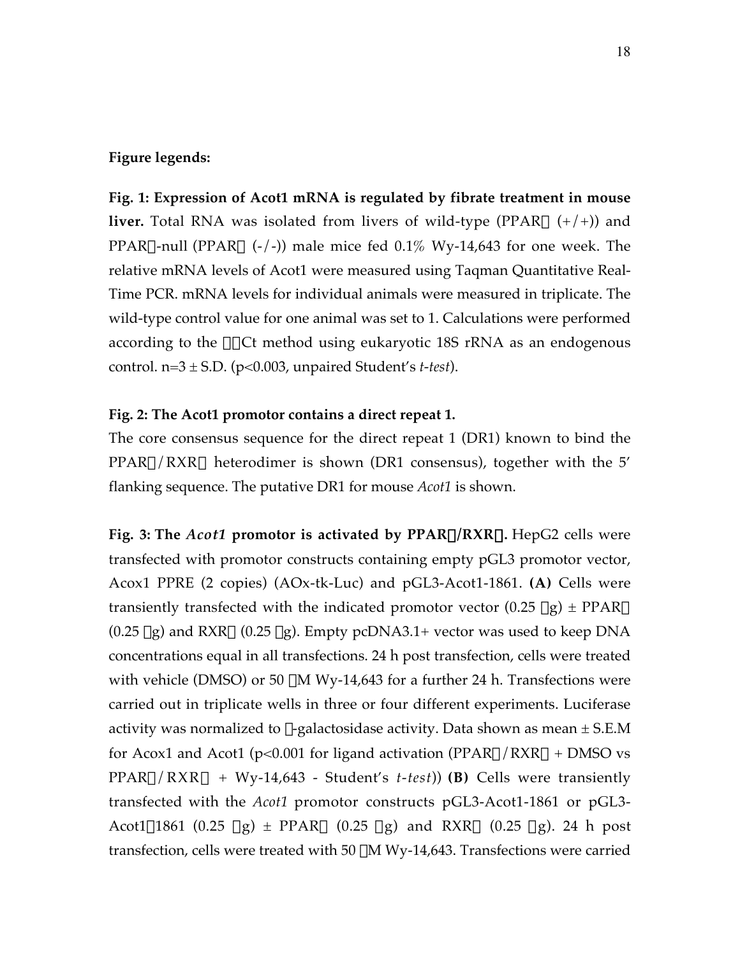# **Figure legends:**

**Fig. 1: Expression of Acot1 mRNA is regulated by fibrate treatment in mouse liver.** Total RNA was isolated from livers of wild-type (PPAR $\alpha$  (+/+)) and PPAR $\alpha$ -null (PPAR $\alpha$  (-/-)) male mice fed 0.1% Wy-14,643 for one week. The relative mRNA levels of Acot1 were measured using Taqman Quantitative Real-Time PCR. mRNA levels for individual animals were measured in triplicate. The wild-type control value for one animal was set to 1. Calculations were performed according to the  $\Delta\Delta$ Ct method using eukaryotic 18S rRNA as an endogenous control.  $n=3 \pm S.D.$  ( $p<0.003$ , unpaired Student's *t*-test).

### **Fig. 2: The Acot1 promotor contains a direct repeat 1.**

The core consensus sequence for the direct repeat 1 (DR1) known to bind the  $PPAR\alpha/RXR\alpha$  heterodimer is shown (DR1 consensus), together with the 5' flanking sequence. The putative DR1 for mouse *Acot1* is shown.

**Fig. 3: The** *Acot1* **promotor is activated by PPAR**a**/RXR**a**.** HepG2 cells were transfected with promotor constructs containing empty pGL3 promotor vector, Acox1 PPRE (2 copies) (AOx-tk-Luc) and pGL3-Acot1-1861. **(A)** Cells were transiently transfected with the indicated promotor vector  $(0.25 \mu g) \pm PPAR\alpha$  $(0.25 \,\mu$ g) and RXR $\alpha$  (0.25  $\mu$ g). Empty pcDNA3.1+ vector was used to keep DNA concentrations equal in all transfections. 24 h post transfection, cells were treated with vehicle (DMSO) or 50  $\mu$ M Wy-14,643 for a further 24 h. Transfections were carried out in triplicate wells in three or four different experiments. Luciferase activity was normalized to  $\beta$ -galactosidase activity. Data shown as mean  $\pm$  S.E.M for Acox1 and Acot1 (p<0.001 for ligand activation (PPAR $\alpha$ /RXR $\alpha$  + DMSO vs  $PPAR\alpha/RXR\alpha + Wy-14,643$  - Student's *t-test*)) **(B)** Cells were transiently transfected with the *Acot1* promotor constructs pGL3-Acot1-1861 or pGL3- Acot1 $\Delta$ 1861 (0.25  $\mu$ g) ± PPAR $\alpha$  (0.25  $\mu$ g) and RXR $\alpha$  (0.25  $\mu$ g). 24 h post transfection, cells were treated with 50  $\mu$ M Wy-14,643. Transfections were carried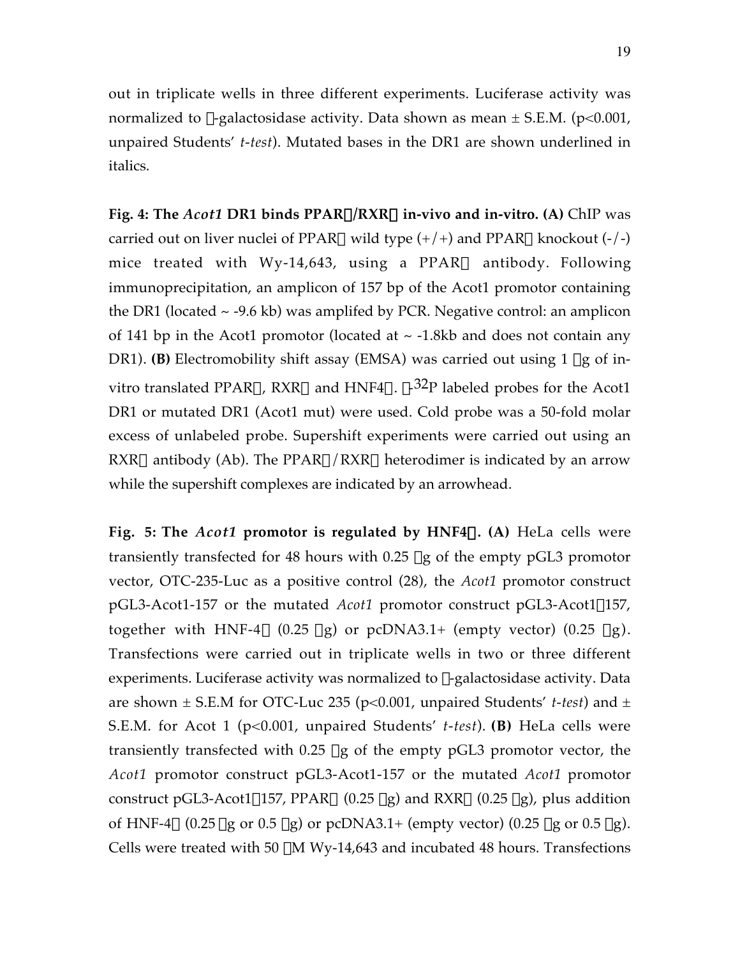out in triplicate wells in three different experiments. Luciferase activity was normalized to  $\beta$ -galactosidase activity. Data shown as mean  $\pm$  S.E.M. (p<0.001, unpaired Students' *t-test*). Mutated bases in the DR1 are shown underlined in italics.

**Fig. 4: The** *Acot1* **DR1 binds PPAR**a**/RXR**a **in-vivo and in-vitro. (A)** ChIP was carried out on liver nuclei of PPAR $\alpha$  wild type  $(+/+)$  and PPAR $\alpha$  knockout  $(-/-)$ mice treated with Wy-14,643, using a PPAR $\alpha$  antibody. Following immunoprecipitation, an amplicon of 157 bp of the Acot1 promotor containing the DR1 (located  $\sim$  -9.6 kb) was amplifed by PCR. Negative control: an amplicon of 141 bp in the Acot1 promotor (located at  $\sim$  -1.8kb and does not contain any DR1). **(B)** Electromobility shift assay (EMSA) was carried out using 1 µg of invitro translated PPAR $\alpha$ , RXR $\alpha$  and HNF4 $\alpha$ .  $\gamma$ -32P labeled probes for the Acot1 DR1 or mutated DR1 (Acot1 mut) were used. Cold probe was a 50-fold molar excess of unlabeled probe. Supershift experiments were carried out using an RXR $\alpha$  antibody (Ab). The PPAR $\alpha$ /RXR $\alpha$  heterodimer is indicated by an arrow while the supershift complexes are indicated by an arrowhead.

**Fig. 5: The** *Acot1* **promotor is regulated by HNF4**a**. (A)** HeLa cells were transiently transfected for 48 hours with 0.25 µg of the empty pGL3 promotor vector, OTC-235-Luc as a positive control (28), the *Acot1* promotor construct pGL3-Acot1-157 or the mutated *Acot1* promotor construct pGL3-Acot1 $\Delta$ 157, together with HNF-4 $\alpha$  (0.25 µg) or pcDNA3.1+ (empty vector) (0.25 µg). Transfections were carried out in triplicate wells in two or three different experiments. Luciferase activity was normalized to  $\beta$ -galactosidase activity. Data are shown  $\pm$  S.E.M for OTC-Luc 235 (p<0.001, unpaired Students' *t*-test) and  $\pm$ S.E.M. for Acot 1 (p<0.001, unpaired Students' *t-test*). **(B)** HeLa cells were transiently transfected with  $0.25 \mu g$  of the empty pGL3 promotor vector, the *Acot1* promotor construct pGL3-Acot1-157 or the mutated *Acot1* promotor construct pGL3-Acot1 $\triangle$ 157, PPAR $\alpha$  (0.25  $\mu$ g) and RXR $\alpha$  (0.25  $\mu$ g), plus addition of HNF-4 $\alpha$  (0.25  $\mu$ g or 0.5  $\mu$ g) or pcDNA3.1+ (empty vector) (0.25  $\mu$ g or 0.5  $\mu$ g). Cells were treated with 50  $\mu$ M Wy-14,643 and incubated 48 hours. Transfections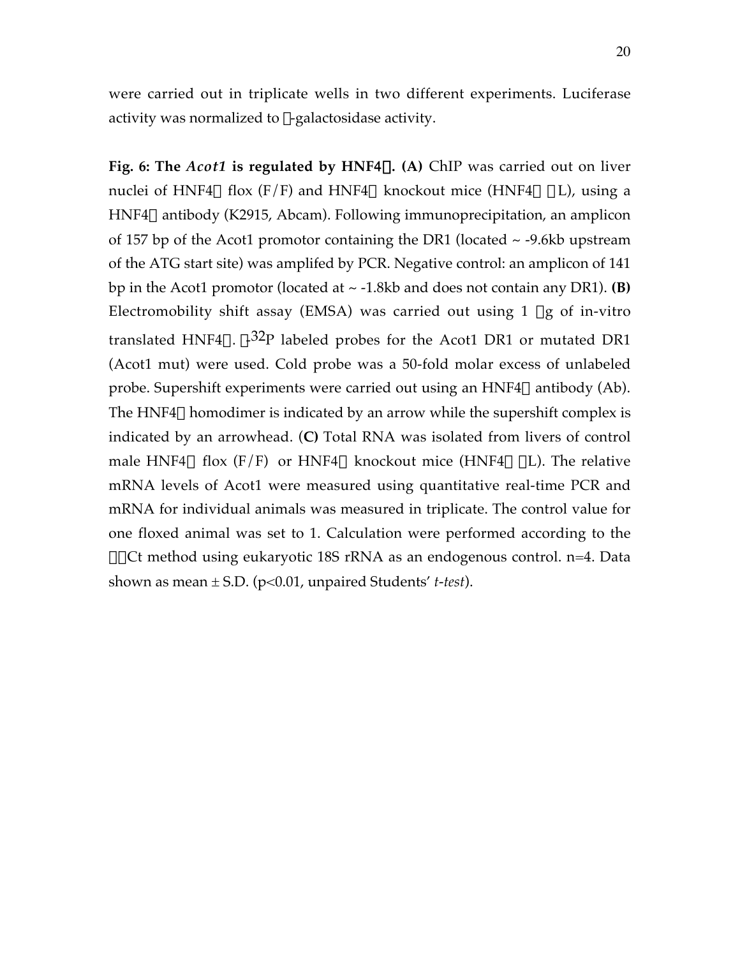were carried out in triplicate wells in two different experiments. Luciferase activity was normalized to  $\beta$ -galactosidase activity.

**Fig. 6: The** *Acot1* **is regulated by HNF**4a**. (A)** ChIP was carried out on liver nuclei of HNF4 $\alpha$  flox (F/F) and HNF4 $\alpha$  knockout mice (HNF4 $\alpha$   $\Delta$ L), using a  $HNF4\alpha$  antibody (K2915, Abcam). Following immunoprecipitation, an amplicon of 157 bp of the Acot1 promotor containing the DR1 (located  $\sim$  -9.6kb upstream of the ATG start site) was amplifed by PCR. Negative control: an amplicon of 141 bp in the Acot1 promotor (located at ~ -1.8kb and does not contain any DR1). **(B)** Electromobility shift assay (EMSA) was carried out using 1  $\mu$ g of in-vitro translated HNF4 $\alpha$ .  $\gamma$ -32P labeled probes for the Acot1 DR1 or mutated DR1 (Acot1 mut) were used. Cold probe was a 50-fold molar excess of unlabeled probe. Supershift experiments were carried out using an  $HNF4\alpha$  antibody (Ab). The HNF4 $\alpha$  homodimer is indicated by an arrow while the supershift complex is indicated by an arrowhead. (**C)** Total RNA was isolated from livers of control male HNF4 $\alpha$  flox (F/F) or HNF4 $\alpha$  knockout mice (HNF4 $\alpha$   $\Delta$ L). The relative mRNA levels of Acot1 were measured using quantitative real-time PCR and mRNA for individual animals was measured in triplicate. The control value for one floxed animal was set to 1. Calculation were performed according to the  $\Delta\Delta$ Ct method using eukaryotic 18S rRNA as an endogenous control. n=4. Data shown as mean ± S.D. (p<0.01, unpaired Students' *t-test*).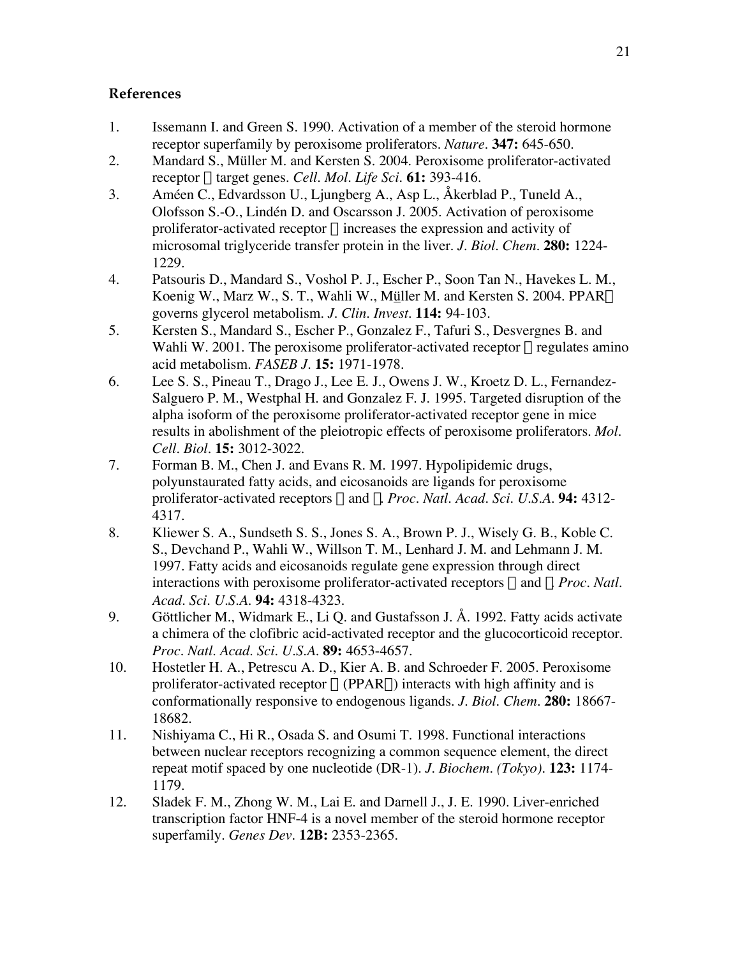# **References**

- 1. Issemann I. and Green S. 1990. Activation of a member of the steroid hormone receptor superfamily by peroxisome proliferators. *Nature*. **347:** 645-650.
- 2. Mandard S., Müller M. and Kersten S. 2004. Peroxisome proliferator-activated receptor a target genes. *Cell. Mol. Life Sci.* **61:** 393-416.
- 3. Améen C., Edvardsson U., Ljungberg A., Asp L., Åkerblad P., Tuneld A., Olofsson S.-O., Lindén D. and Oscarsson J. 2005. Activation of peroxisome proliferator-activated receptor  $\alpha$  increases the expression and activity of microsomal triglyceride transfer protein in the liver. *J. Biol. Chem.* **280:** 1224- 1229.
- 4. Patsouris D., Mandard S., Voshol P. J., Escher P., Soon Tan N., Havekes L. M., Koenig W., Marz W., S. T., Wahli W., Müller M. and Kersten S. 2004. PPARa governs glycerol metabolism. *J. Clin. Invest.* **114:** 94-103.
- 5. Kersten S., Mandard S., Escher P., Gonzalez F., Tafuri S., Desvergnes B. and Wahli W. 2001. The peroxisome proliferator-activated receptor  $\alpha$  regulates amino acid metabolism. *FASEB J.* **15:** 1971-1978.
- 6. Lee S. S., Pineau T., Drago J., Lee E. J., Owens J. W., Kroetz D. L., Fernandez-Salguero P. M., Westphal H. and Gonzalez F. J. 1995. Targeted disruption of the alpha isoform of the peroxisome proliferator-activated receptor gene in mice results in abolishment of the pleiotropic effects of peroxisome proliferators. *Mol. Cell. Biol.* **15:** 3012-3022.
- 7. Forman B. M., Chen J. and Evans R. M. 1997. Hypolipidemic drugs, polyunstaurated fatty acids, and eicosanoids are ligands for peroxisome proliferator-activated receptors  $\alpha$  and  $\delta$ . *Proc. Natl. Acad. Sci. U.S.A.* **94:** 4312-4317.
- 8. Kliewer S. A., Sundseth S. S., Jones S. A., Brown P. J., Wisely G. B., Koble C. S., Devchand P., Wahli W., Willson T. M., Lenhard J. M. and Lehmann J. M. 1997. Fatty acids and eicosanoids regulate gene expression through direct interactions with peroxisome proliferator-activated receptors  $\alpha$  and  $\gamma$ . *Proc. Natl. Acad. Sci. U.S.A.* **94:** 4318-4323.
- 9. Göttlicher M., Widmark E., Li Q. and Gustafsson J. Å. 1992. Fatty acids activate a chimera of the clofibric acid-activated receptor and the glucocorticoid receptor. *Proc. Natl. Acad. Sci. U.S.A.* **89:** 4653-4657.
- 10. Hostetler H. A., Petrescu A. D., Kier A. B. and Schroeder F. 2005. Peroxisome proliferator-activated receptor  $\alpha$  (PPAR $\alpha$ ) interacts with high affinity and is conformationally responsive to endogenous ligands. *J. Biol. Chem.* **280:** 18667- 18682.
- 11. Nishiyama C., Hi R., Osada S. and Osumi T. 1998. Functional interactions between nuclear receptors recognizing a common sequence element, the direct repeat motif spaced by one nucleotide (DR-1). *J. Biochem. (Tokyo)*. **123:** 1174- 1179.
- 12. Sladek F. M., Zhong W. M., Lai E. and Darnell J., J. E. 1990. Liver-enriched transcription factor HNF-4 is a novel member of the steroid hormone receptor superfamily. *Genes Dev.* **12B:** 2353-2365.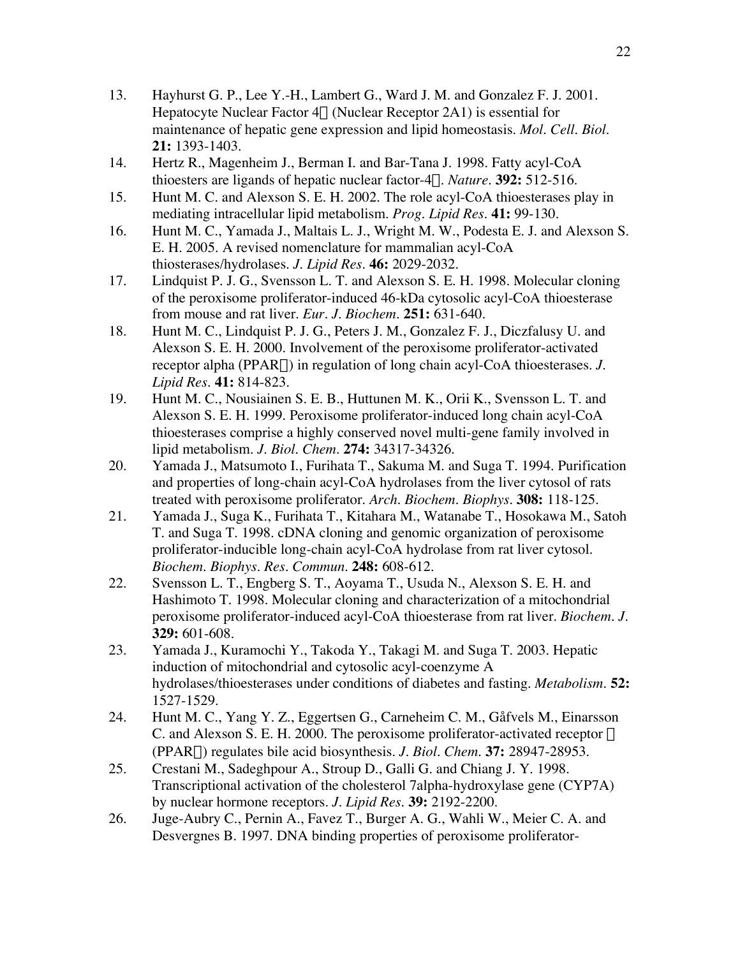- 13. Hayhurst G. P., Lee Y.-H., Lambert G., Ward J. M. and Gonzalez F. J. 2001. Hepatocyte Nuclear Factor  $4\alpha$  (Nuclear Receptor 2A1) is essential for maintenance of hepatic gene expression and lipid homeostasis. *Mol. Cell. Biol.* **21:** 1393-1403.
- 14. Hertz R., Magenheim J., Berman I. and Bar-Tana J. 1998. Fatty acyl-CoA thioesters are ligands of hepatic nuclear factor-4a. *Nature*. **392:** 512-516.
- 15. Hunt M. C. and Alexson S. E. H. 2002. The role acyl-CoA thioesterases play in mediating intracellular lipid metabolism. *Prog. Lipid Res.* **41:** 99-130.
- 16. Hunt M. C., Yamada J., Maltais L. J., Wright M. W., Podesta E. J. and Alexson S. E. H. 2005. A revised nomenclature for mammalian acyl-CoA thiosterases/hydrolases. *J. Lipid Res.* **46:** 2029-2032.
- 17. Lindquist P. J. G., Svensson L. T. and Alexson S. E. H. 1998. Molecular cloning of the peroxisome proliferator-induced 46-kDa cytosolic acyl-CoA thioesterase from mouse and rat liver. *Eur. J. Biochem.* **251:** 631-640.
- 18. Hunt M. C., Lindquist P. J. G., Peters J. M., Gonzalez F. J., Diczfalusy U. and Alexson S. E. H. 2000. Involvement of the peroxisome proliferator-activated receptor alpha (PPARa) in regulation of long chain acyl-CoA thioesterases. *J. Lipid Res.* **41:** 814-823.
- 19. Hunt M. C., Nousiainen S. E. B., Huttunen M. K., Orii K., Svensson L. T. and Alexson S. E. H. 1999. Peroxisome proliferator-induced long chain acyl-CoA thioesterases comprise a highly conserved novel multi-gene family involved in lipid metabolism. *J. Biol. Chem.* **274:** 34317-34326.
- 20. Yamada J., Matsumoto I., Furihata T., Sakuma M. and Suga T. 1994. Purification and properties of long-chain acyl-CoA hydrolases from the liver cytosol of rats treated with peroxisome proliferator. *Arch. Biochem. Biophys.* **308:** 118-125.
- 21. Yamada J., Suga K., Furihata T., Kitahara M., Watanabe T., Hosokawa M., Satoh T. and Suga T. 1998. cDNA cloning and genomic organization of peroxisome proliferator-inducible long-chain acyl-CoA hydrolase from rat liver cytosol. *Biochem. Biophys. Res. Commun.* **248:** 608-612.
- 22. Svensson L. T., Engberg S. T., Aoyama T., Usuda N., Alexson S. E. H. and Hashimoto T. 1998. Molecular cloning and characterization of a mitochondrial peroxisome proliferator-induced acyl-CoA thioesterase from rat liver. *Biochem. J.* **329:** 601-608.
- 23. Yamada J., Kuramochi Y., Takoda Y., Takagi M. and Suga T. 2003. Hepatic induction of mitochondrial and cytosolic acyl-coenzyme A hydrolases/thioesterases under conditions of diabetes and fasting. *Metabolism.* **52:** 1527-1529.
- 24. Hunt M. C., Yang Y. Z., Eggertsen G., Carneheim C. M., Gåfvels M., Einarsson C. and Alexson S. E. H. 2000. The peroxisome proliferator-activated receptor  $\alpha$ (PPARa) regulates bile acid biosynthesis. *J. Biol. Chem.* **37:** 28947-28953.
- 25. Crestani M., Sadeghpour A., Stroup D., Galli G. and Chiang J. Y. 1998. Transcriptional activation of the cholesterol 7alpha-hydroxylase gene (CYP7A) by nuclear hormone receptors. *J. Lipid Res.* **39:** 2192-2200.
- 26. Juge-Aubry C., Pernin A., Favez T., Burger A. G., Wahli W., Meier C. A. and Desvergnes B. 1997. DNA binding properties of peroxisome proliferator-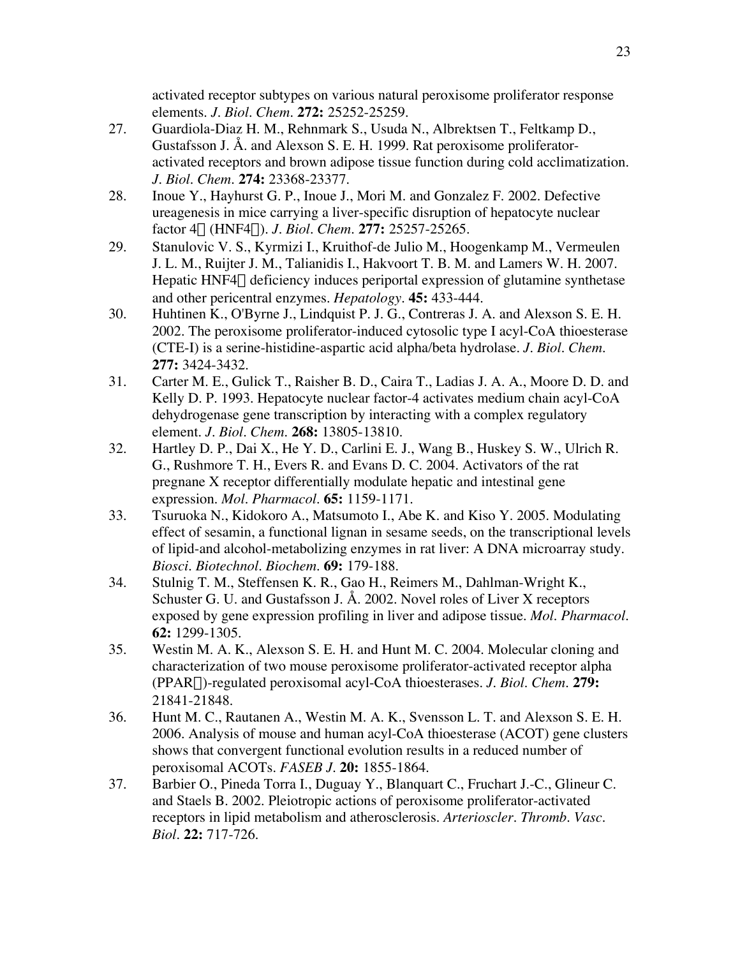activated receptor subtypes on various natural peroxisome proliferator response elements. *J. Biol. Chem.* **272:** 25252-25259.

- 27. Guardiola-Diaz H. M., Rehnmark S., Usuda N., Albrektsen T., Feltkamp D., Gustafsson J. Å. and Alexson S. E. H. 1999. Rat peroxisome proliferatoractivated receptors and brown adipose tissue function during cold acclimatization. *J. Biol. Chem.* **274:** 23368-23377.
- 28. Inoue Y., Hayhurst G. P., Inoue J., Mori M. and Gonzalez F. 2002. Defective ureagenesis in mice carrying a liver-specific disruption of hepatocyte nuclear factor 4a (HNF4a). *J. Biol. Chem.* **277:** 25257-25265.
- 29. Stanulovic V. S., Kyrmizi I., Kruithof-de Julio M., Hoogenkamp M., Vermeulen J. L. M., Ruijter J. M., Talianidis I., Hakvoort T. B. M. and Lamers W. H. 2007. Hepatic HNF4 $\alpha$  deficiency induces periportal expression of glutamine synthetase and other pericentral enzymes. *Hepatology*. **45:** 433-444.
- 30. Huhtinen K., O'Byrne J., Lindquist P. J. G., Contreras J. A. and Alexson S. E. H. 2002. The peroxisome proliferator-induced cytosolic type I acyl-CoA thioesterase (CTE-I) is a serine-histidine-aspartic acid alpha/beta hydrolase. *J. Biol. Chem.* **277:** 3424-3432.
- 31. Carter M. E., Gulick T., Raisher B. D., Caira T., Ladias J. A. A., Moore D. D. and Kelly D. P. 1993. Hepatocyte nuclear factor-4 activates medium chain acyl-CoA dehydrogenase gene transcription by interacting with a complex regulatory element. *J. Biol. Chem.* **268:** 13805-13810.
- 32. Hartley D. P., Dai X., He Y. D., Carlini E. J., Wang B., Huskey S. W., Ulrich R. G., Rushmore T. H., Evers R. and Evans D. C. 2004. Activators of the rat pregnane X receptor differentially modulate hepatic and intestinal gene expression. *Mol. Pharmacol.* **65:** 1159-1171.
- 33. Tsuruoka N., Kidokoro A., Matsumoto I., Abe K. and Kiso Y. 2005. Modulating effect of sesamin, a functional lignan in sesame seeds, on the transcriptional levels of lipid-and alcohol-metabolizing enzymes in rat liver: A DNA microarray study. *Biosci. Biotechnol. Biochem.* **69:** 179-188.
- 34. Stulnig T. M., Steffensen K. R., Gao H., Reimers M., Dahlman-Wright K., Schuster G. U. and Gustafsson J. Å. 2002. Novel roles of Liver X receptors exposed by gene expression profiling in liver and adipose tissue. *Mol. Pharmacol.* **62:** 1299-1305.
- 35. Westin M. A. K., Alexson S. E. H. and Hunt M. C. 2004. Molecular cloning and characterization of two mouse peroxisome proliferator-activated receptor alpha (PPARa)-regulated peroxisomal acyl-CoA thioesterases. *J. Biol. Chem.* **279:** 21841-21848.
- 36. Hunt M. C., Rautanen A., Westin M. A. K., Svensson L. T. and Alexson S. E. H. 2006. Analysis of mouse and human acyl-CoA thioesterase (ACOT) gene clusters shows that convergent functional evolution results in a reduced number of peroxisomal ACOTs. *FASEB J.* **20:** 1855-1864.
- 37. Barbier O., Pineda Torra I., Duguay Y., Blanquart C., Fruchart J.-C., Glineur C. and Staels B. 2002. Pleiotropic actions of peroxisome proliferator-activated receptors in lipid metabolism and atherosclerosis. *Arterioscler. Thromb. Vasc. Biol.* **22:** 717-726.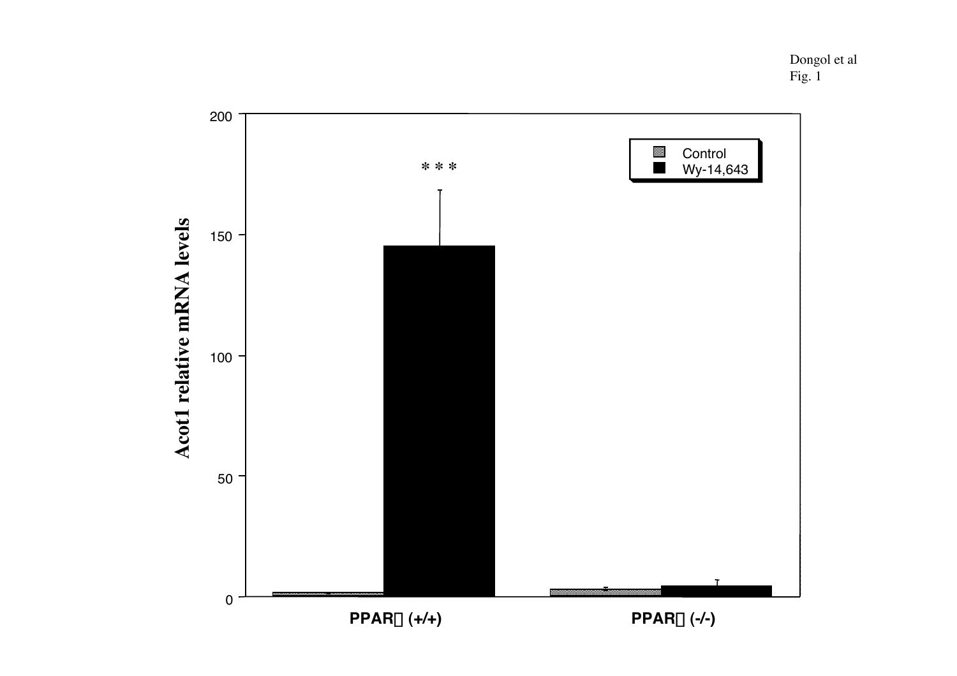Dongol et al Fig. 1

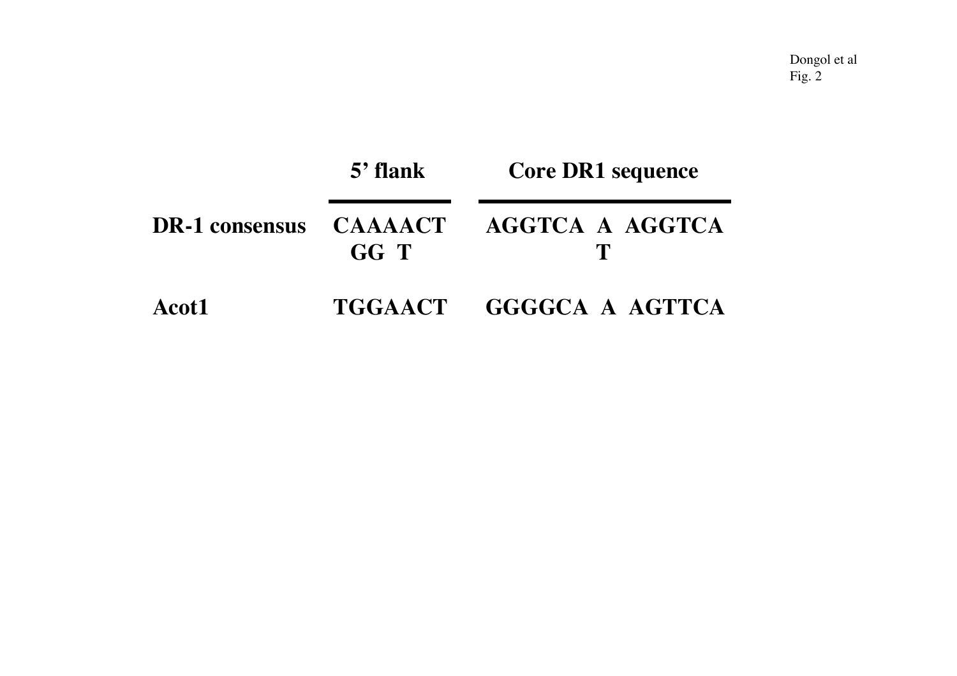| <b>DR-1</b> consensus | $5'$ flank             | <b>Core DR1 sequence</b> |  |  |  |
|-----------------------|------------------------|--------------------------|--|--|--|
|                       | <b>CAAAACT</b><br>GG T | AGGTCA A AGGTCA          |  |  |  |
| Acot1                 |                        | TGGAACT GGGGCA A AGTTCA  |  |  |  |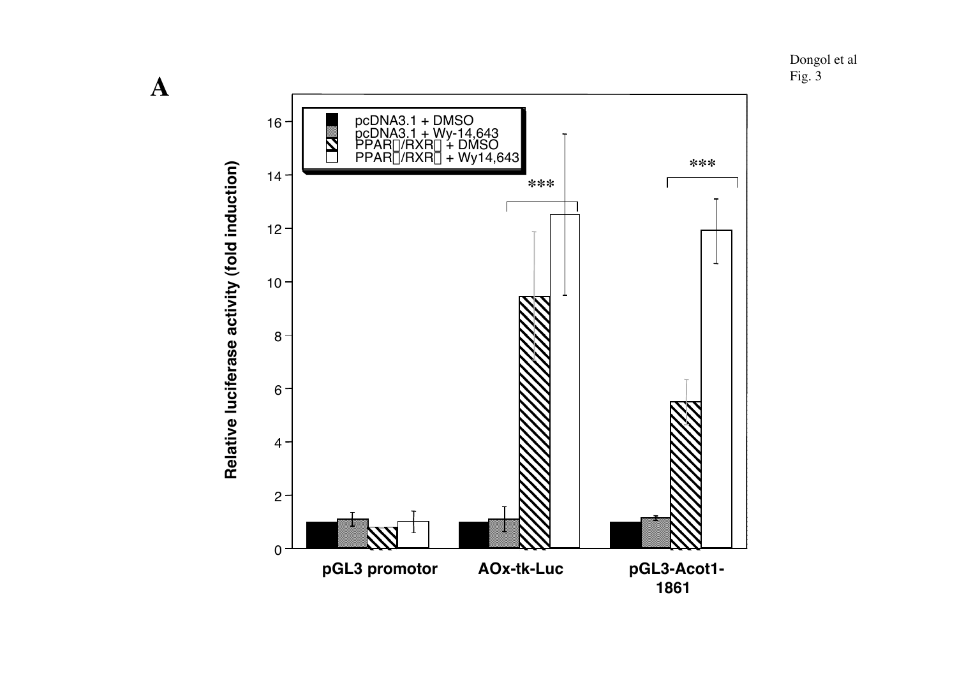Dongol et al Fig. 3



**A**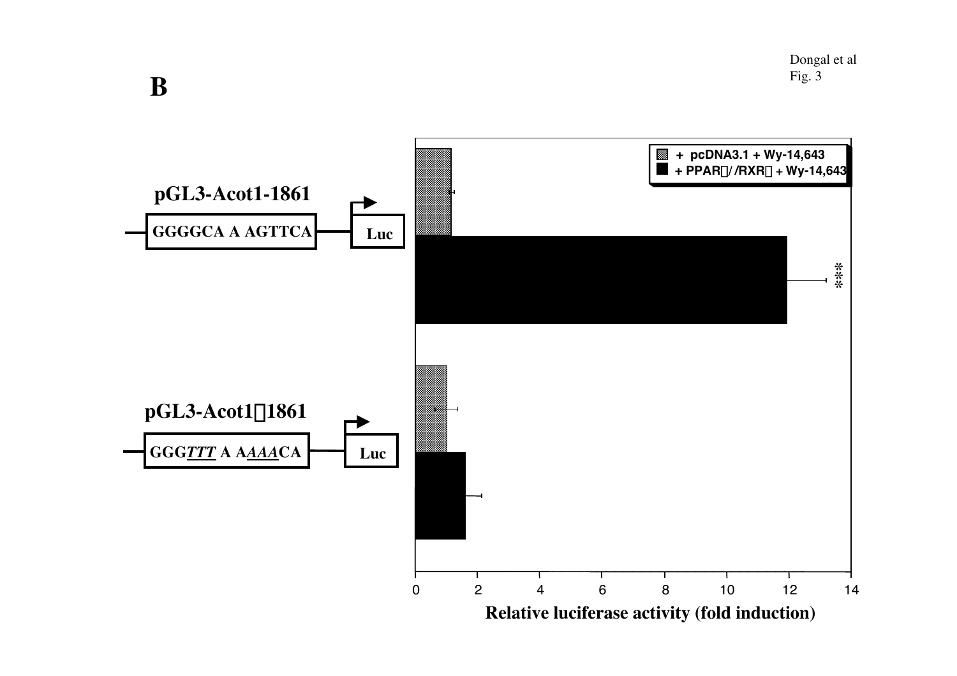Dongal et al Fig. 3



**B**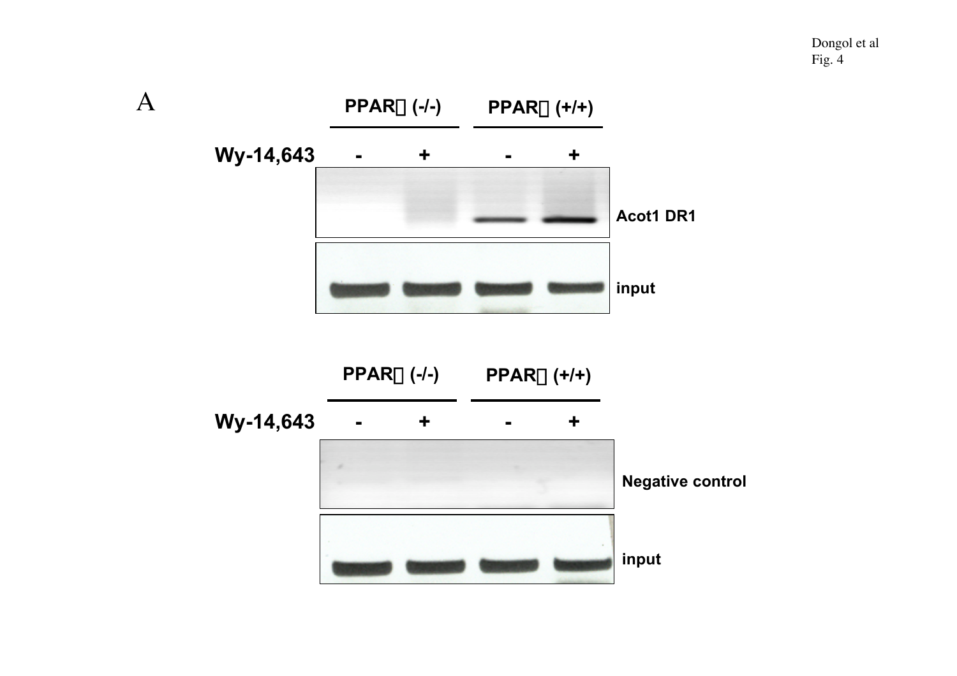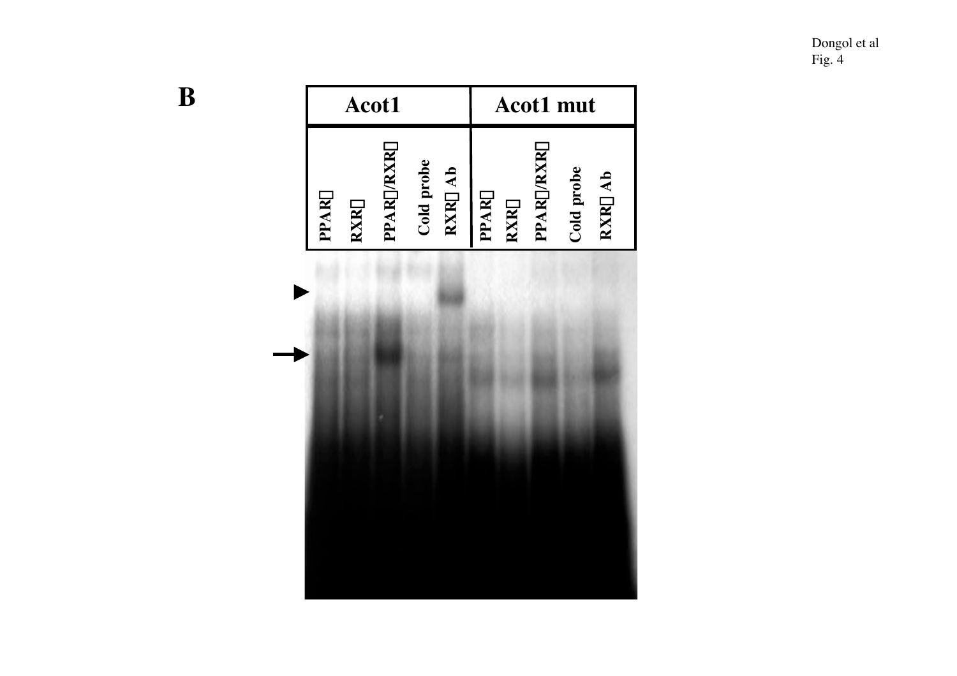Dongol et al Fig. 4

|       | Acot1 |           |            | <b>Acot1</b> mut |       |             |            |            |         |  |
|-------|-------|-----------|------------|------------------|-------|-------------|------------|------------|---------|--|
| PPARa | RXRa  | PPARo/RXR | Cold probe | $RXR\alpha$ Ab   | PPARa | $RXR\alpha$ | PPARa/RXRa | Cold probe | RXRa Ab |  |

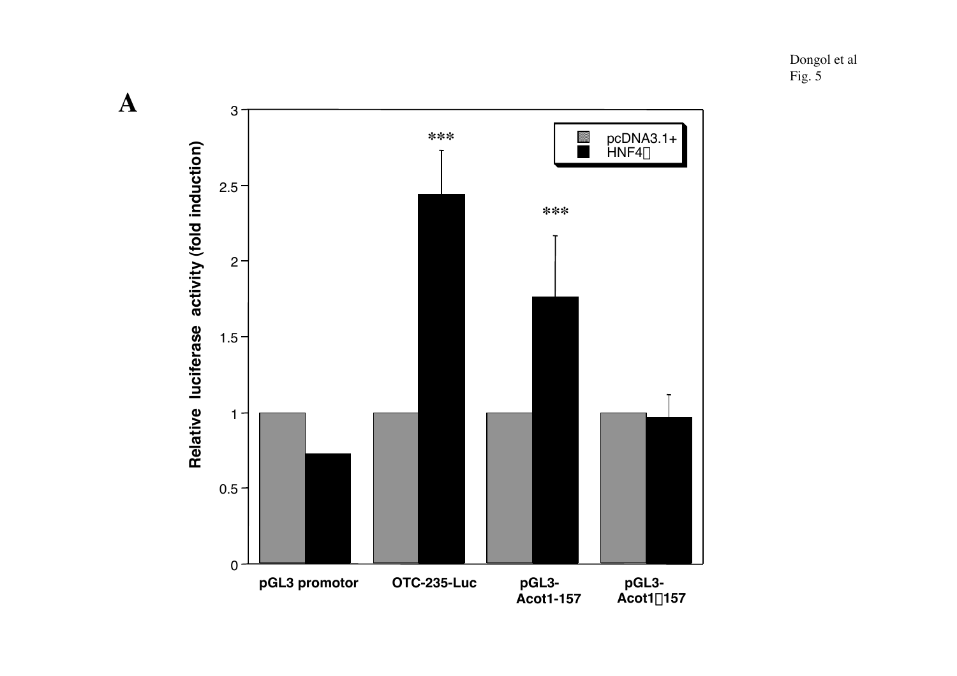Dongol et al Fig. 5



**A**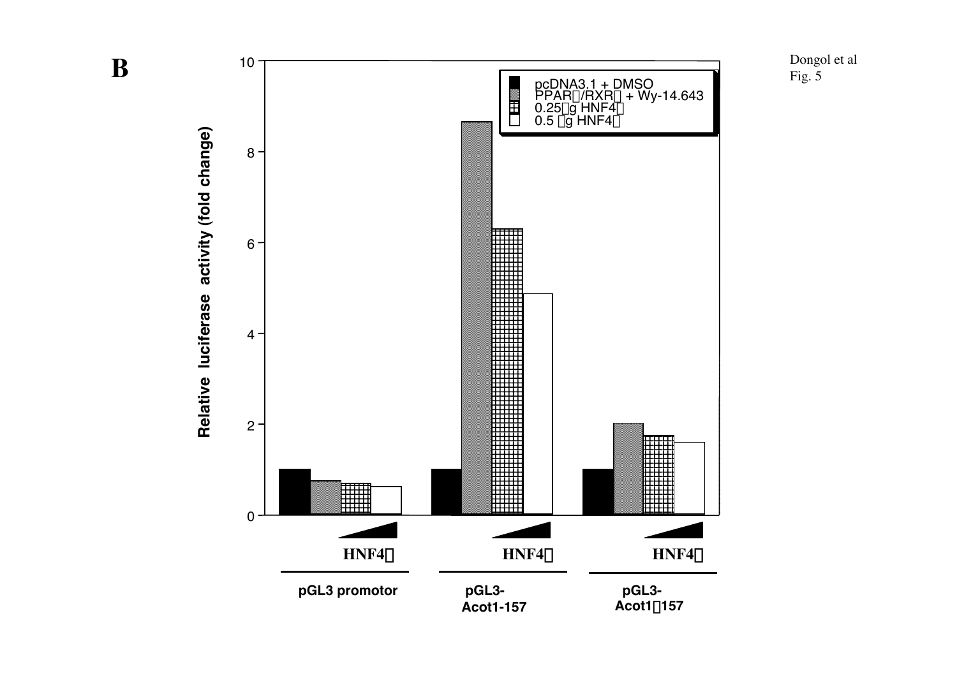10 **B** Fig. pcDNA3.1 + DMSO 用用 PPARα/RXRα + Wy-14.643<br>0.25μg HNF4α 0.5 μg HNF4 $\alpha$  $8 -$ 8<br>6<br>4<br>2<br>0  $6 4 2 \mathbf{0}$  $HNF4\alpha$  $HNF4\alpha$  $\alpha$  **HNF4** $\alpha$ **pGL3 promotor pGL3 pGL3- Acot1-157 Acot1** D**157**

Relative luciferase activity (fold change) **Relative luciferase activity (fold change)**

Dongol et al Fig.  $5$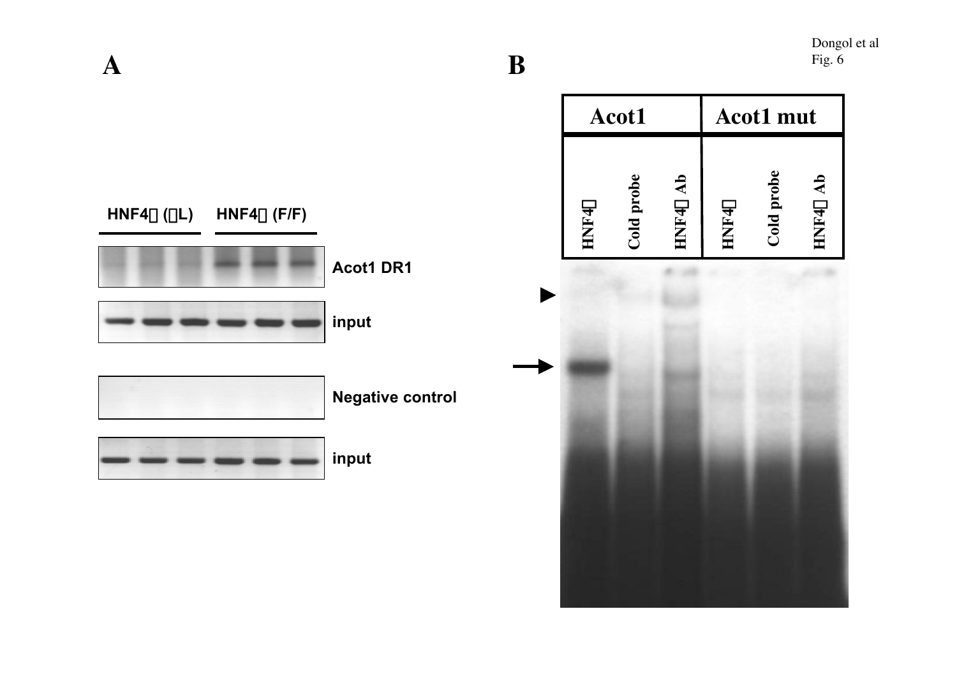**AAcot1 Acot1 mut** Cold probe **Cold probe** Cold probe HNF4<sub>C</sub> Ab **Cold probe HNF4**a **Ab** a a  $HNF4\alpha (\Delta L)$  **HNF4** $\alpha$  (F/F) **HNF4 HNF4 Acot1 DR1**  $\blacktriangleright$ **input**

**Negative control input**

HNF40 Ab **HNF4**a **Ab**

Dongol et al Fig. 6